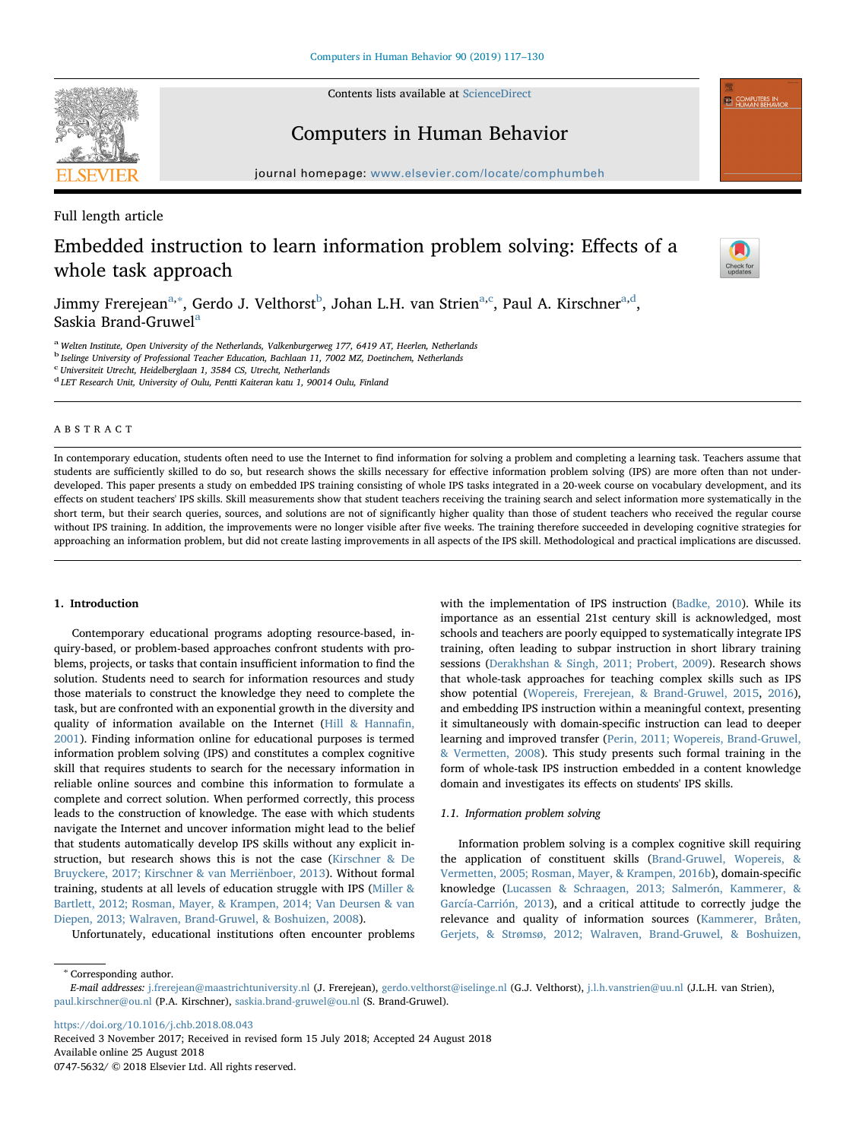Contents lists available at [ScienceDirect](http://www.sciencedirect.com/science/journal/07475632)



Computers in Human Behavior

journal homepage: [www.elsevier.com/locate/comphumbeh](https://www.elsevier.com/locate/comphumbeh)

Full length article

# Embedded instruction to learn information problem solving: Effects of a whole task approach



**ED COMPUTERS IN** 

Jimmy Frerejean<sup>[a,](#page-0-0)[∗](#page-0-1)</sup>, Gerdo J. Velthorst<sup>[b](#page-0-2)</sup>, Johan L.H. van Strien<sup>a,[c](#page-0-3)</sup>, Paul A. Kirschner<sup>a,[d](#page-0-4)</sup>, S[a](#page-0-0)skia Brand-Gruwel<sup>a</sup>

<span id="page-0-0"></span><sup>a</sup> Welten Institute, Open University of the Netherlands, Valkenburgerweg 177, 6419 AT, Heerlen, Netherlands

<span id="page-0-2"></span><sup>b</sup> Iselinge University of Professional Teacher Education, Bachlaan 11, 7002 MZ, Doetinchem, Netherlands

<span id="page-0-3"></span><sup>c</sup> Universiteit Utrecht, Heidelberglaan 1, 3584 CS, Utrecht, Netherlands

<span id="page-0-4"></span><sup>d</sup> LET Research Unit, University of Oulu, Pentti Kaiteran katu 1, 90014 Oulu, Finland

# ABSTRACT

In contemporary education, students often need to use the Internet to find information for solving a problem and completing a learning task. Teachers assume that students are sufficiently skilled to do so, but research shows the skills necessary for effective information problem solving (IPS) are more often than not underdeveloped. This paper presents a study on embedded IPS training consisting of whole IPS tasks integrated in a 20-week course on vocabulary development, and its effects on student teachers' IPS skills. Skill measurements show that student teachers receiving the training search and select information more systematically in the short term, but their search queries, sources, and solutions are not of significantly higher quality than those of student teachers who received the regular course without IPS training. In addition, the improvements were no longer visible after five weeks. The training therefore succeeded in developing cognitive strategies for approaching an information problem, but did not create lasting improvements in all aspects of the IPS skill. Methodological and practical implications are discussed.

# 1. Introduction

Contemporary educational programs adopting resource-based, inquiry-based, or problem-based approaches confront students with problems, projects, or tasks that contain insufficient information to find the solution. Students need to search for information resources and study those materials to construct the knowledge they need to complete the task, but are confronted with an exponential growth in the diversity and quality of information available on the Internet [\(Hill & Hanna](#page-12-0)fin, [2001\)](#page-12-0). Finding information online for educational purposes is termed information problem solving (IPS) and constitutes a complex cognitive skill that requires students to search for the necessary information in reliable online sources and combine this information to formulate a complete and correct solution. When performed correctly, this process leads to the construction of knowledge. The ease with which students navigate the Internet and uncover information might lead to the belief that students automatically develop IPS skills without any explicit instruction, but research shows this is not the case [\(Kirschner & De](#page-12-1) [Bruyckere, 2017; Kirschner & van Merriënboer, 2013](#page-12-1)). Without formal training, students at all levels of education struggle with IPS [\(Miller &](#page-12-2) [Bartlett, 2012; Rosman, Mayer, & Krampen, 2014; Van Deursen & van](#page-12-2) [Diepen, 2013; Walraven, Brand-Gruwel, & Boshuizen, 2008\)](#page-12-2).

Unfortunately, educational institutions often encounter problems

with the implementation of IPS instruction ([Badke, 2010](#page-12-3)). While its importance as an essential 21st century skill is acknowledged, most schools and teachers are poorly equipped to systematically integrate IPS training, often leading to subpar instruction in short library training sessions ([Derakhshan & Singh, 2011; Probert, 2009\)](#page-12-4). Research shows that whole-task approaches for teaching complex skills such as IPS show potential [\(Wopereis, Frerejean, & Brand-Gruwel, 2015](#page-13-0), [2016](#page-13-1)), and embedding IPS instruction within a meaningful context, presenting it simultaneously with domain-specific instruction can lead to deeper learning and improved transfer ([Perin, 2011; Wopereis, Brand-Gruwel,](#page-12-5) [& Vermetten, 2008](#page-12-5)). This study presents such formal training in the form of whole-task IPS instruction embedded in a content knowledge domain and investigates its effects on students' IPS skills.

# <span id="page-0-5"></span>1.1. Information problem solving

Information problem solving is a complex cognitive skill requiring the application of constituent skills ([Brand-Gruwel, Wopereis, &](#page-12-6) [Vermetten, 2005; Rosman, Mayer, & Krampen, 2016b\)](#page-12-6), domain-specific knowledge ([Lucassen & Schraagen, 2013; Salmerón, Kammerer, &](#page-12-7) [García-Carrión, 2013\)](#page-12-7), and a critical attitude to correctly judge the relevance and quality of information sources ([Kammerer, Bråten,](#page-12-8) [Gerjets, & Strømsø, 2012; Walraven, Brand-Gruwel, & Boshuizen,](#page-12-8)

<span id="page-0-1"></span><sup>∗</sup> Corresponding author.

<https://doi.org/10.1016/j.chb.2018.08.043>

Received 3 November 2017; Received in revised form 15 July 2018; Accepted 24 August 2018 Available online 25 August 2018 0747-5632/ © 2018 Elsevier Ltd. All rights reserved.

E-mail addresses: [j.frerejean@maastrichtuniversity.nl](mailto:j.frerejean@maastrichtuniversity.nl) (J. Frerejean), [gerdo.velthorst@iselinge.nl](mailto:gerdo.velthorst@iselinge.nl) (G.J. Velthorst), [j.l.h.vanstrien@uu.nl](mailto:j.l.h.vanstrien@uu.nl) (J.L.H. van Strien), [paul.kirschner@ou.nl](mailto:paul.kirschner@ou.nl) (P.A. Kirschner), [saskia.brand-gruwel@ou.nl](mailto:saskia.brand-gruwel@ou.nl) (S. Brand-Gruwel).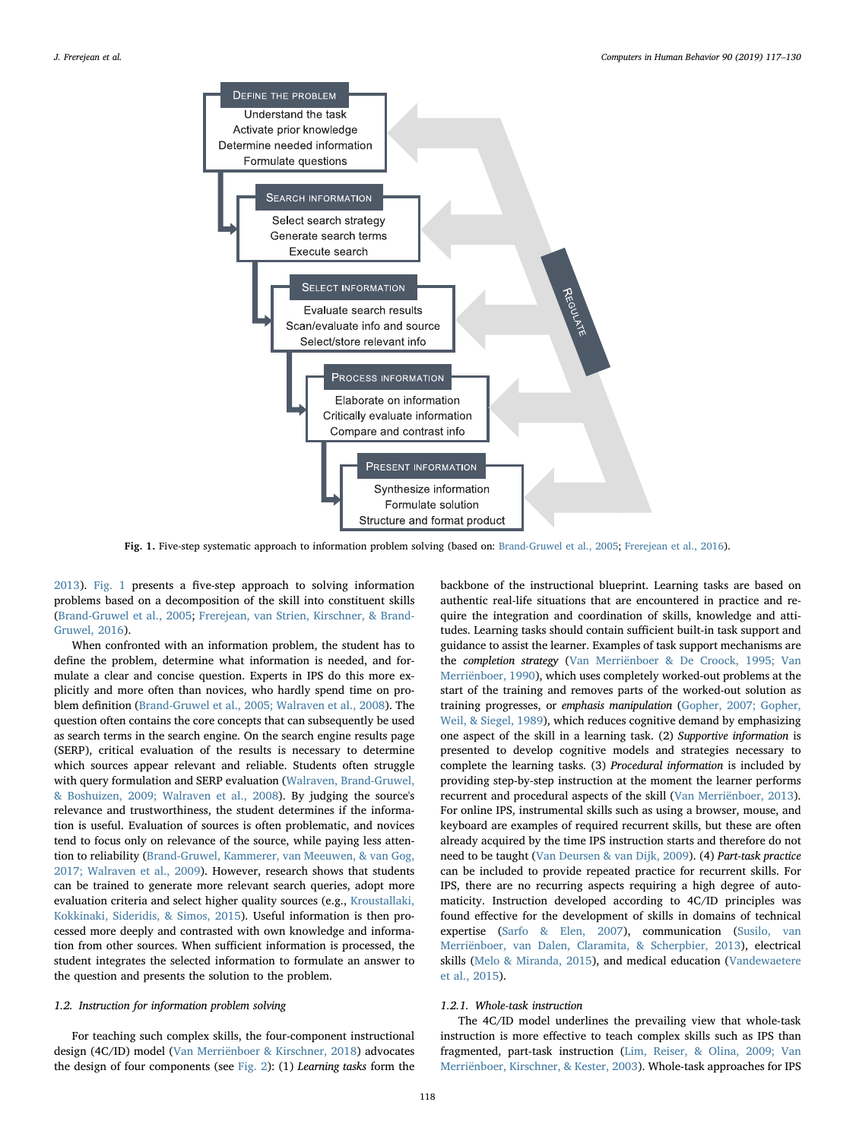<span id="page-1-0"></span>

Fig. 1. Five-step systematic approach to information problem solving (based on: [Brand-Gruwel et al., 2005;](#page-12-6) [Frerejean et al., 2016\)](#page-12-9).

[2013\)](#page-12-8). [Fig. 1](#page-1-0) presents a five-step approach to solving information problems based on a decomposition of the skill into constituent skills ([Brand-Gruwel et al., 2005;](#page-12-6) [Frerejean, van Strien, Kirschner, & Brand-](#page-12-9)[Gruwel, 2016](#page-12-9)).

When confronted with an information problem, the student has to define the problem, determine what information is needed, and formulate a clear and concise question. Experts in IPS do this more explicitly and more often than novices, who hardly spend time on problem definition ([Brand-Gruwel et al., 2005; Walraven et al., 2008\)](#page-12-6). The question often contains the core concepts that can subsequently be used as search terms in the search engine. On the search engine results page (SERP), critical evaluation of the results is necessary to determine which sources appear relevant and reliable. Students often struggle with query formulation and SERP evaluation [\(Walraven, Brand-Gruwel,](#page-13-2) [& Boshuizen, 2009; Walraven et al., 2008\)](#page-13-2). By judging the source's relevance and trustworthiness, the student determines if the information is useful. Evaluation of sources is often problematic, and novices tend to focus only on relevance of the source, while paying less attention to reliability [\(Brand-Gruwel, Kammerer, van Meeuwen, & van Gog,](#page-12-10) [2017; Walraven et al., 2009](#page-12-10)). However, research shows that students can be trained to generate more relevant search queries, adopt more evaluation criteria and select higher quality sources (e.g., [Kroustallaki,](#page-12-11) [Kokkinaki, Sideridis, & Simos, 2015\)](#page-12-11). Useful information is then processed more deeply and contrasted with own knowledge and information from other sources. When sufficient information is processed, the student integrates the selected information to formulate an answer to the question and presents the solution to the problem.

#### 1.2. Instruction for information problem solving

For teaching such complex skills, the four-component instructional design (4C/ID) model ([Van Merriënboer & Kirschner, 2018](#page-13-3)) advocates the design of four components (see [Fig. 2](#page-2-0)): (1) Learning tasks form the

backbone of the instructional blueprint. Learning tasks are based on authentic real-life situations that are encountered in practice and require the integration and coordination of skills, knowledge and attitudes. Learning tasks should contain sufficient built-in task support and guidance to assist the learner. Examples of task support mechanisms are the completion strategy [\(Van Merriënboer & De Croock, 1995; Van](#page-13-4) [Merriënboer, 1990\)](#page-13-4), which uses completely worked-out problems at the start of the training and removes parts of the worked-out solution as training progresses, or emphasis manipulation [\(Gopher, 2007; Gopher,](#page-12-12) [Weil, & Siegel, 1989\)](#page-12-12), which reduces cognitive demand by emphasizing one aspect of the skill in a learning task. (2) Supportive information is presented to develop cognitive models and strategies necessary to complete the learning tasks. (3) Procedural information is included by providing step-by-step instruction at the moment the learner performs recurrent and procedural aspects of the skill [\(Van Merriënboer, 2013](#page-13-5)). For online IPS, instrumental skills such as using a browser, mouse, and keyboard are examples of required recurrent skills, but these are often already acquired by the time IPS instruction starts and therefore do not need to be taught [\(Van Deursen & van Dijk, 2009](#page-13-6)). (4) Part-task practice can be included to provide repeated practice for recurrent skills. For IPS, there are no recurring aspects requiring a high degree of automaticity. Instruction developed according to 4C/ID principles was found effective for the development of skills in domains of technical expertise ([Sarfo & Elen, 2007\)](#page-13-7), communication [\(Susilo, van](#page-13-8) [Merriënboer, van Dalen, Claramita, & Scherpbier, 2013\)](#page-13-8), electrical skills [\(Melo & Miranda, 2015](#page-12-13)), and medical education ([Vandewaetere](#page-13-9) [et al., 2015](#page-13-9)).

#### 1.2.1. Whole-task instruction

The 4C/ID model underlines the prevailing view that whole-task instruction is more effective to teach complex skills such as IPS than fragmented, part-task instruction ([Lim, Reiser, & Olina, 2009; Van](#page-12-14) [Merriënboer, Kirschner, & Kester, 2003\)](#page-12-14). Whole-task approaches for IPS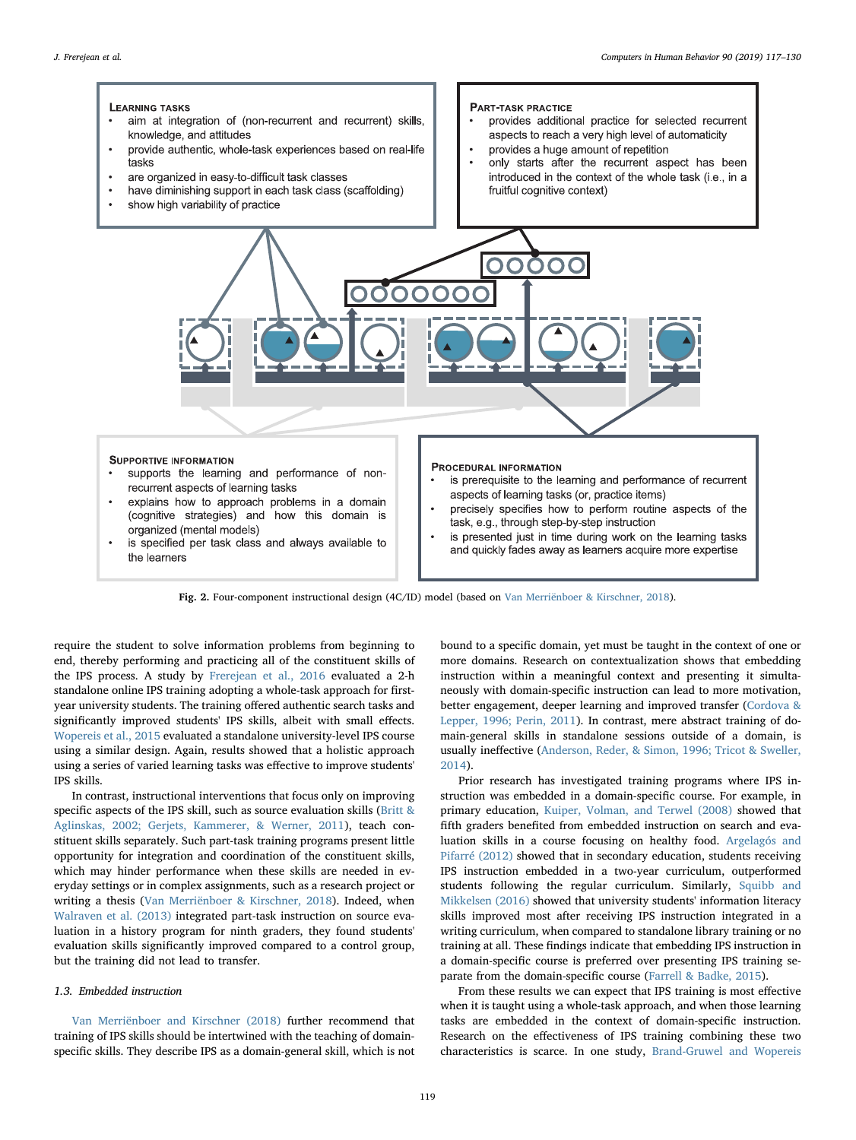<span id="page-2-0"></span>

- aim at integration of (non-recurrent and recurrent) skills, knowledge, and attitudes
- provide authentic, whole-task experiences based on real-life tasks
- are organized in easy-to-difficult task classes
- have diminishing support in each task class (scaffolding)
- show high variability of practice

PART-TASK PRACTICE

- provides additional practice for selected recurrent aspects to reach a very high level of automaticity
- provides a huge amount of repetition
- only starts after the recurrent aspect has been introduced in the context of the whole task (i.e., in a fruitful cognitive context)



Fig. 2. Four-component instructional design (4C/ID) model (based on [Van Merriënboer & Kirschner, 2018](#page-13-3)).

require the student to solve information problems from beginning to end, thereby performing and practicing all of the constituent skills of the IPS process. A study by [Frerejean et al., 2016](#page-12-9) evaluated a 2-h standalone online IPS training adopting a whole-task approach for firstyear university students. The training offered authentic search tasks and significantly improved students' IPS skills, albeit with small effects. [Wopereis et al., 2015](#page-13-0) evaluated a standalone university-level IPS course using a similar design. Again, results showed that a holistic approach using a series of varied learning tasks was effective to improve students' IPS skills.

In contrast, instructional interventions that focus only on improving specific aspects of the IPS skill, such as source evaluation skills ([Britt &](#page-12-15) [Aglinskas, 2002; Gerjets, Kammerer, & Werner, 2011\)](#page-12-15), teach constituent skills separately. Such part-task training programs present little opportunity for integration and coordination of the constituent skills, which may hinder performance when these skills are needed in everyday settings or in complex assignments, such as a research project or writing a thesis [\(Van Merriënboer & Kirschner, 2018](#page-13-3)). Indeed, when [Walraven et al. \(2013\)](#page-13-10) integrated part-task instruction on source evaluation in a history program for ninth graders, they found students' evaluation skills significantly improved compared to a control group, but the training did not lead to transfer.

#### 1.3. Embedded instruction

[Van Merriënboer and Kirschner \(2018\)](#page-13-3) further recommend that training of IPS skills should be intertwined with the teaching of domainspecific skills. They describe IPS as a domain-general skill, which is not bound to a specific domain, yet must be taught in the context of one or more domains. Research on contextualization shows that embedding instruction within a meaningful context and presenting it simultaneously with domain-specific instruction can lead to more motivation, better engagement, deeper learning and improved transfer ([Cordova &](#page-12-16) [Lepper, 1996; Perin, 2011](#page-12-16)). In contrast, mere abstract training of domain-general skills in standalone sessions outside of a domain, is usually ineffective ([Anderson, Reder, & Simon, 1996; Tricot & Sweller,](#page-12-17) [2014\)](#page-12-17).

Prior research has investigated training programs where IPS instruction was embedded in a domain-specific course. For example, in primary education, [Kuiper, Volman, and Terwel \(2008\)](#page-12-18) showed that fifth graders benefited from embedded instruction on search and evaluation skills in a course focusing on healthy food. [Argelagós and](#page-12-19) [Pifarré \(2012\)](#page-12-19) showed that in secondary education, students receiving IPS instruction embedded in a two-year curriculum, outperformed students following the regular curriculum. Similarly, [Squibb and](#page-13-11) [Mikkelsen \(2016\)](#page-13-11) showed that university students' information literacy skills improved most after receiving IPS instruction integrated in a writing curriculum, when compared to standalone library training or no training at all. These findings indicate that embedding IPS instruction in a domain-specific course is preferred over presenting IPS training separate from the domain-specific course ([Farrell & Badke, 2015](#page-12-20)).

From these results we can expect that IPS training is most effective when it is taught using a whole-task approach, and when those learning tasks are embedded in the context of domain-specific instruction. Research on the effectiveness of IPS training combining these two characteristics is scarce. In one study, [Brand-Gruwel and Wopereis](#page-12-21)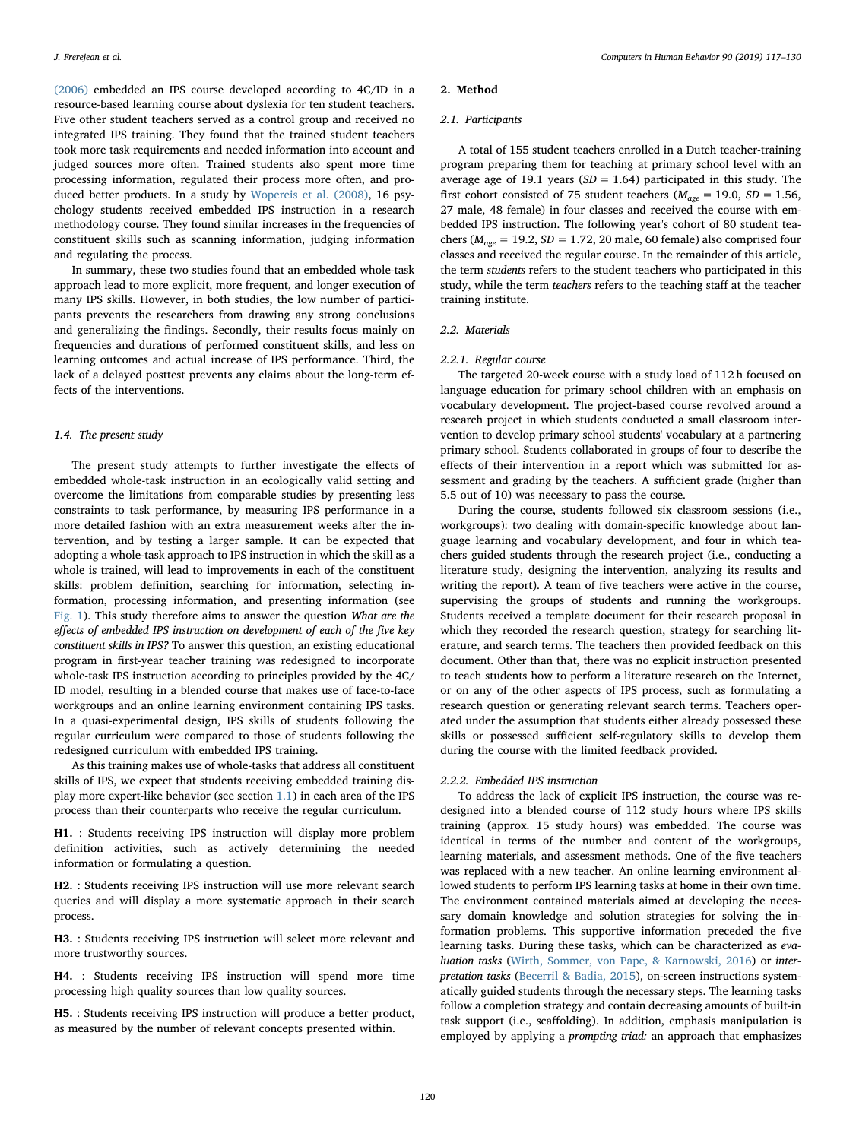[\(2006\)](#page-12-21) embedded an IPS course developed according to 4C/ID in a resource-based learning course about dyslexia for ten student teachers. Five other student teachers served as a control group and received no integrated IPS training. They found that the trained student teachers took more task requirements and needed information into account and judged sources more often. Trained students also spent more time processing information, regulated their process more often, and produced better products. In a study by [Wopereis et al. \(2008\)](#page-13-12), 16 psychology students received embedded IPS instruction in a research methodology course. They found similar increases in the frequencies of constituent skills such as scanning information, judging information and regulating the process.

In summary, these two studies found that an embedded whole-task approach lead to more explicit, more frequent, and longer execution of many IPS skills. However, in both studies, the low number of participants prevents the researchers from drawing any strong conclusions and generalizing the findings. Secondly, their results focus mainly on frequencies and durations of performed constituent skills, and less on learning outcomes and actual increase of IPS performance. Third, the lack of a delayed posttest prevents any claims about the long-term effects of the interventions.

# 1.4. The present study

The present study attempts to further investigate the effects of embedded whole-task instruction in an ecologically valid setting and overcome the limitations from comparable studies by presenting less constraints to task performance, by measuring IPS performance in a more detailed fashion with an extra measurement weeks after the intervention, and by testing a larger sample. It can be expected that adopting a whole-task approach to IPS instruction in which the skill as a whole is trained, will lead to improvements in each of the constituent skills: problem definition, searching for information, selecting information, processing information, and presenting information (see [Fig. 1](#page-1-0)). This study therefore aims to answer the question What are the effects of embedded IPS instruction on development of each of the five key constituent skills in IPS? To answer this question, an existing educational program in first-year teacher training was redesigned to incorporate whole-task IPS instruction according to principles provided by the 4C/ ID model, resulting in a blended course that makes use of face-to-face workgroups and an online learning environment containing IPS tasks. In a quasi-experimental design, IPS skills of students following the regular curriculum were compared to those of students following the redesigned curriculum with embedded IPS training.

As this training makes use of whole-tasks that address all constituent skills of IPS, we expect that students receiving embedded training display more expert-like behavior (see section [1.1\)](#page-0-5) in each area of the IPS process than their counterparts who receive the regular curriculum.

<span id="page-3-0"></span>H1. : Students receiving IPS instruction will display more problem definition activities, such as actively determining the needed information or formulating a question.

H2. : Students receiving IPS instruction will use more relevant search queries and will display a more systematic approach in their search process.

<span id="page-3-1"></span>H3. : Students receiving IPS instruction will select more relevant and more trustworthy sources.

H4. : Students receiving IPS instruction will spend more time processing high quality sources than low quality sources.

<span id="page-3-2"></span>H5. : Students receiving IPS instruction will produce a better product, as measured by the number of relevant concepts presented within.

### 2. Method

#### 2.1. Participants

A total of 155 student teachers enrolled in a Dutch teacher-training program preparing them for teaching at primary school level with an average age of 19.1 years ( $SD = 1.64$ ) participated in this study. The first cohort consisted of 75 student teachers ( $M_{\text{age}} = 19.0$ , SD = 1.56, 27 male, 48 female) in four classes and received the course with embedded IPS instruction. The following year's cohort of 80 student teachers ( $M_{age} = 19.2$ ,  $SD = 1.72$ , 20 male, 60 female) also comprised four classes and received the regular course. In the remainder of this article, the term students refers to the student teachers who participated in this study, while the term teachers refers to the teaching staff at the teacher training institute.

# 2.2. Materials

#### 2.2.1. Regular course

The targeted 20-week course with a study load of 112 h focused on language education for primary school children with an emphasis on vocabulary development. The project-based course revolved around a research project in which students conducted a small classroom intervention to develop primary school students' vocabulary at a partnering primary school. Students collaborated in groups of four to describe the effects of their intervention in a report which was submitted for assessment and grading by the teachers. A sufficient grade (higher than 5.5 out of 10) was necessary to pass the course.

During the course, students followed six classroom sessions (i.e., workgroups): two dealing with domain-specific knowledge about language learning and vocabulary development, and four in which teachers guided students through the research project (i.e., conducting a literature study, designing the intervention, analyzing its results and writing the report). A team of five teachers were active in the course, supervising the groups of students and running the workgroups. Students received a template document for their research proposal in which they recorded the research question, strategy for searching literature, and search terms. The teachers then provided feedback on this document. Other than that, there was no explicit instruction presented to teach students how to perform a literature research on the Internet, or on any of the other aspects of IPS process, such as formulating a research question or generating relevant search terms. Teachers operated under the assumption that students either already possessed these skills or possessed sufficient self-regulatory skills to develop them during the course with the limited feedback provided.

#### 2.2.2. Embedded IPS instruction

To address the lack of explicit IPS instruction, the course was redesigned into a blended course of 112 study hours where IPS skills training (approx. 15 study hours) was embedded. The course was identical in terms of the number and content of the workgroups, learning materials, and assessment methods. One of the five teachers was replaced with a new teacher. An online learning environment allowed students to perform IPS learning tasks at home in their own time. The environment contained materials aimed at developing the necessary domain knowledge and solution strategies for solving the information problems. This supportive information preceded the five learning tasks. During these tasks, which can be characterized as evaluation tasks ([Wirth, Sommer, von Pape, & Karnowski, 2016](#page-13-13)) or interpretation tasks [\(Becerril & Badia, 2015\)](#page-12-22), on-screen instructions systematically guided students through the necessary steps. The learning tasks follow a completion strategy and contain decreasing amounts of built-in task support (i.e., scaffolding). In addition, emphasis manipulation is employed by applying a prompting triad: an approach that emphasizes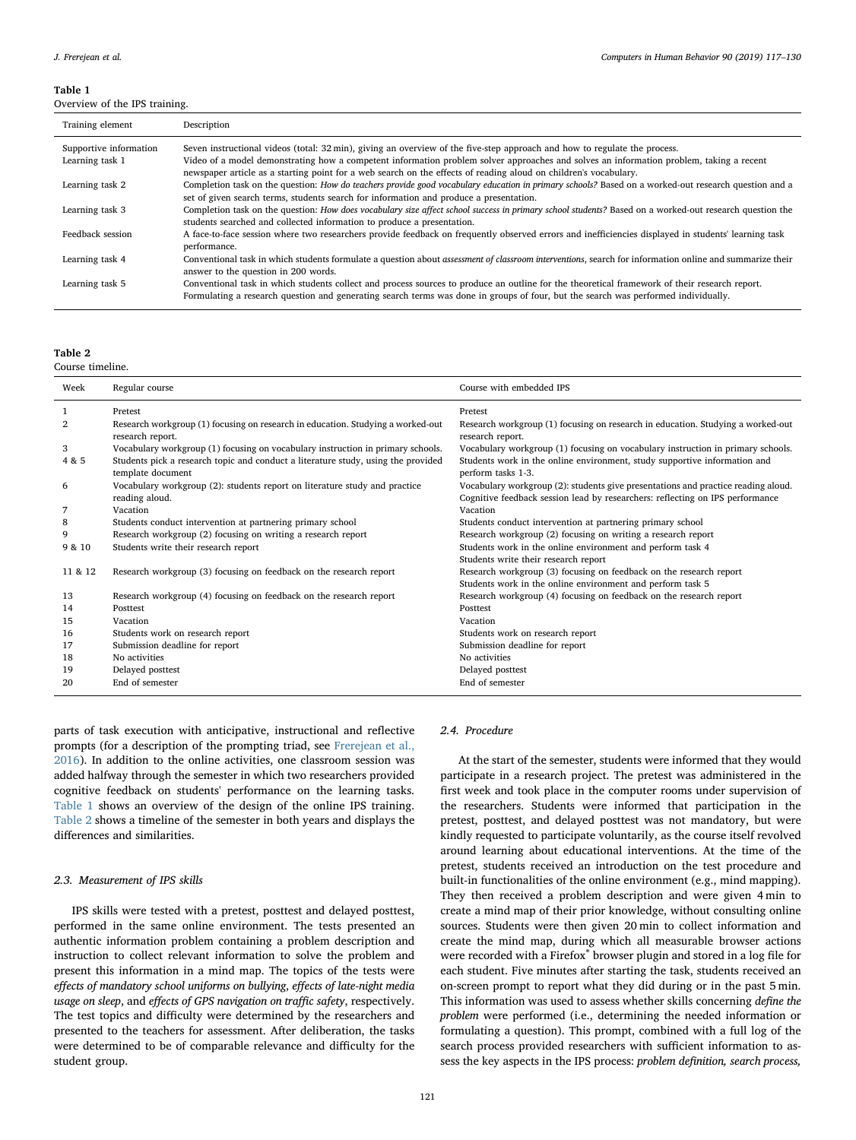#### <span id="page-4-0"></span>Table 1

| Training element       | Description                                                                                                                                             |
|------------------------|---------------------------------------------------------------------------------------------------------------------------------------------------------|
| Supportive information | Seven instructional videos (total: 32 min), giving an overview of the five-step approach and how to regulate the process.                               |
| Learning task 1        | Video of a model demonstrating how a competent information problem solver approaches and solves an information problem, taking a recent                 |
|                        | newspaper article as a starting point for a web search on the effects of reading aloud on children's vocabulary.                                        |
| Learning task 2        | Completion task on the question: How do teachers provide good vocabulary education in primary schools? Based on a worked-out research question and a    |
|                        | set of given search terms, students search for information and produce a presentation.                                                                  |
| Learning task 3        | Completion task on the question: How does vocabulary size affect school success in primary school students? Based on a worked-out research question the |
|                        | students searched and collected information to produce a presentation.                                                                                  |
| Feedback session       | A face-to-face session where two researchers provide feedback on frequently observed errors and inefficiencies displayed in students' learning task     |
|                        | performance.                                                                                                                                            |
| Learning task 4        | Conventional task in which students formulate a question about assessment of classroom interventions, search for information online and summarize their |
|                        | answer to the question in 200 words.                                                                                                                    |
| Learning task 5        | Conventional task in which students collect and process sources to produce an outline for the theoretical framework of their research report.           |
|                        | Formulating a research question and generating search terms was done in groups of four, but the search was performed individually.                      |

# <span id="page-4-1"></span>Table 2

Course timeline.

| Week    | Regular course                                                                                         | Course with embedded IPS                                                                                                                                           |
|---------|--------------------------------------------------------------------------------------------------------|--------------------------------------------------------------------------------------------------------------------------------------------------------------------|
| 1       | Pretest                                                                                                | Pretest                                                                                                                                                            |
| 2       | Research workgroup (1) focusing on research in education. Studying a worked-out<br>research report.    | Research workgroup (1) focusing on research in education. Studying a worked-out<br>research report.                                                                |
| 3       | Vocabulary workgroup (1) focusing on vocabulary instruction in primary schools.                        | Vocabulary workgroup (1) focusing on vocabulary instruction in primary schools.                                                                                    |
| 4 & 5   | Students pick a research topic and conduct a literature study, using the provided<br>template document | Students work in the online environment, study supportive information and<br>perform tasks 1-3.                                                                    |
| 6       | Vocabulary workgroup (2): students report on literature study and practice<br>reading aloud.           | Vocabulary workgroup (2): students give presentations and practice reading aloud.<br>Cognitive feedback session lead by researchers: reflecting on IPS performance |
|         | Vacation                                                                                               | Vacation                                                                                                                                                           |
| 8       | Students conduct intervention at partnering primary school                                             | Students conduct intervention at partnering primary school                                                                                                         |
| 9       | Research workgroup (2) focusing on writing a research report                                           | Research workgroup (2) focusing on writing a research report                                                                                                       |
| 9 & 10  | Students write their research report                                                                   | Students work in the online environment and perform task 4                                                                                                         |
|         |                                                                                                        | Students write their research report                                                                                                                               |
| 11 & 12 | Research workgroup (3) focusing on feedback on the research report                                     | Research workgroup (3) focusing on feedback on the research report                                                                                                 |
|         |                                                                                                        | Students work in the online environment and perform task 5                                                                                                         |
| 13      | Research workgroup (4) focusing on feedback on the research report                                     | Research workgroup (4) focusing on feedback on the research report                                                                                                 |
| 14      | Posttest                                                                                               | Posttest                                                                                                                                                           |
| 15      | Vacation                                                                                               | Vacation                                                                                                                                                           |
| 16      | Students work on research report                                                                       | Students work on research report                                                                                                                                   |
| 17      | Submission deadline for report                                                                         | Submission deadline for report                                                                                                                                     |
| 18      | No activities                                                                                          | No activities                                                                                                                                                      |
| 19      | Delayed posttest                                                                                       | Delayed posttest                                                                                                                                                   |
| 20      | End of semester                                                                                        | End of semester                                                                                                                                                    |

parts of task execution with anticipative, instructional and reflective prompts (for a description of the prompting triad, see [Frerejean et al.,](#page-12-9) [2016\)](#page-12-9). In addition to the online activities, one classroom session was added halfway through the semester in which two researchers provided cognitive feedback on students' performance on the learning tasks. [Table 1](#page-4-0) shows an overview of the design of the online IPS training. [Table 2](#page-4-1) shows a timeline of the semester in both years and displays the differences and similarities.

### 2.3. Measurement of IPS skills

IPS skills were tested with a pretest, posttest and delayed posttest, performed in the same online environment. The tests presented an authentic information problem containing a problem description and instruction to collect relevant information to solve the problem and present this information in a mind map. The topics of the tests were effects of mandatory school uniforms on bullying, effects of late-night media usage on sleep, and effects of GPS navigation on traffic safety, respectively. The test topics and difficulty were determined by the researchers and presented to the teachers for assessment. After deliberation, the tasks were determined to be of comparable relevance and difficulty for the student group.

#### 2.4. Procedure

At the start of the semester, students were informed that they would participate in a research project. The pretest was administered in the first week and took place in the computer rooms under supervision of the researchers. Students were informed that participation in the pretest, posttest, and delayed posttest was not mandatory, but were kindly requested to participate voluntarily, as the course itself revolved around learning about educational interventions. At the time of the pretest, students received an introduction on the test procedure and built-in functionalities of the online environment (e.g., mind mapping). They then received a problem description and were given 4 min to create a mind map of their prior knowledge, without consulting online sources. Students were then given 20 min to collect information and create the mind map, during which all measurable browser actions were recorded with a Firefox® browser plugin and stored in a log file for each student. Five minutes after starting the task, students received an on-screen prompt to report what they did during or in the past 5 min. This information was used to assess whether skills concerning define the problem were performed (i.e., determining the needed information or formulating a question). This prompt, combined with a full log of the search process provided researchers with sufficient information to assess the key aspects in the IPS process: problem definition, search process,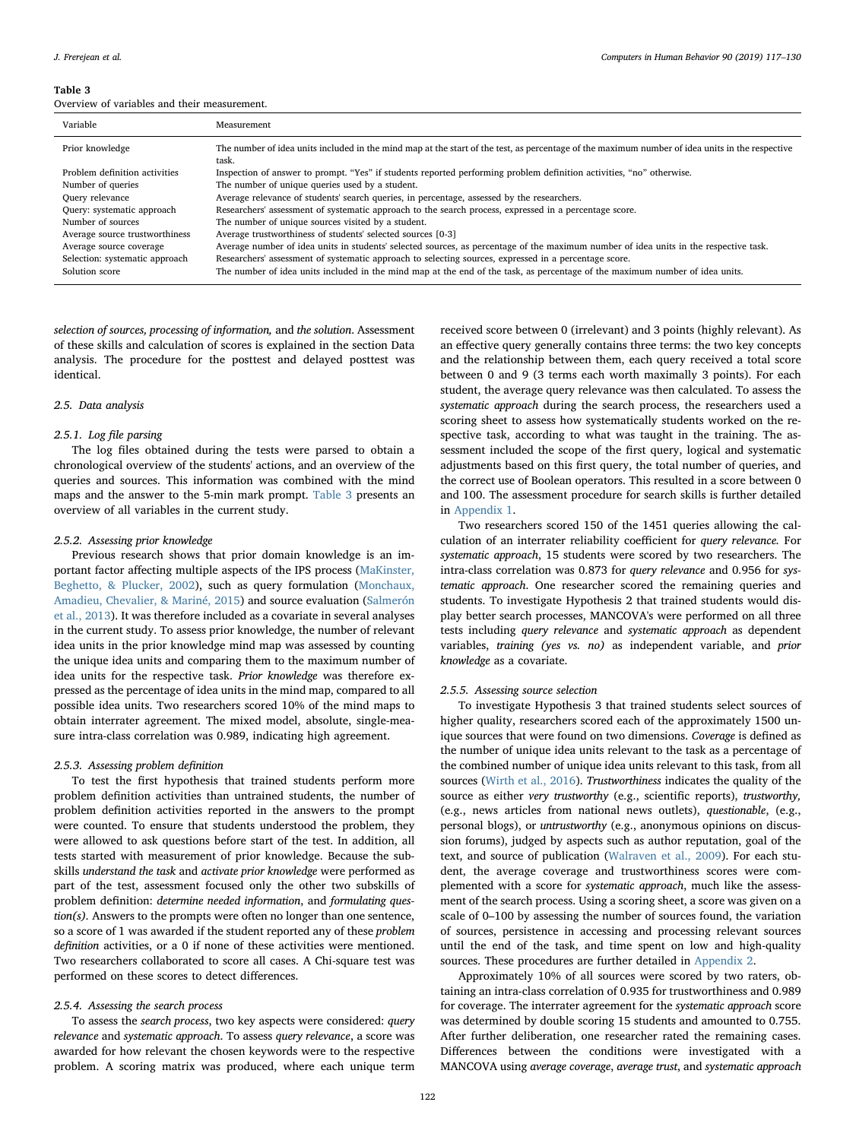#### <span id="page-5-0"></span>Table 3

Overview of variables and their measurement.

| Variable                       | Measurement                                                                                                                                              |
|--------------------------------|----------------------------------------------------------------------------------------------------------------------------------------------------------|
| Prior knowledge                | The number of idea units included in the mind map at the start of the test, as percentage of the maximum number of idea units in the respective<br>task. |
| Problem definition activities  | Inspection of answer to prompt. "Yes" if students reported performing problem definition activities, "no" otherwise.                                     |
| Number of queries              | The number of unique queries used by a student.                                                                                                          |
| Query relevance                | Average relevance of students' search queries, in percentage, assessed by the researchers.                                                               |
| Query: systematic approach     | Researchers' assessment of systematic approach to the search process, expressed in a percentage score.                                                   |
| Number of sources              | The number of unique sources visited by a student.                                                                                                       |
| Average source trustworthiness | Average trustworthiness of students' selected sources [0-3]                                                                                              |
| Average source coverage        | Average number of idea units in students' selected sources, as percentage of the maximum number of idea units in the respective task.                    |
| Selection: systematic approach | Researchers' assessment of systematic approach to selecting sources, expressed in a percentage score.                                                    |
| Solution score                 | The number of idea units included in the mind map at the end of the task, as percentage of the maximum number of idea units.                             |

selection of sources, processing of information, and the solution. Assessment of these skills and calculation of scores is explained in the section Data analysis. The procedure for the posttest and delayed posttest was identical.

#### 2.5. Data analysis

#### 2.5.1. Log file parsing

The log files obtained during the tests were parsed to obtain a chronological overview of the students' actions, and an overview of the queries and sources. This information was combined with the mind maps and the answer to the 5-min mark prompt. [Table 3](#page-5-0) presents an overview of all variables in the current study.

# 2.5.2. Assessing prior knowledge

Previous research shows that prior domain knowledge is an important factor affecting multiple aspects of the IPS process [\(MaKinster,](#page-12-23) [Beghetto, & Plucker, 2002\)](#page-12-23), such as query formulation ([Monchaux,](#page-12-24) [Amadieu, Chevalier, & Mariné, 2015](#page-12-24)) and source evaluation [\(Salmerón](#page-13-14) [et al., 2013](#page-13-14)). It was therefore included as a covariate in several analyses in the current study. To assess prior knowledge, the number of relevant idea units in the prior knowledge mind map was assessed by counting the unique idea units and comparing them to the maximum number of idea units for the respective task. Prior knowledge was therefore expressed as the percentage of idea units in the mind map, compared to all possible idea units. Two researchers scored 10% of the mind maps to obtain interrater agreement. The mixed model, absolute, single-measure intra-class correlation was 0.989, indicating high agreement.

# 2.5.3. Assessing problem definition

To test the first hypothesis that trained students perform more problem definition activities than untrained students, the number of problem definition activities reported in the answers to the prompt were counted. To ensure that students understood the problem, they were allowed to ask questions before start of the test. In addition, all tests started with measurement of prior knowledge. Because the subskills understand the task and activate prior knowledge were performed as part of the test, assessment focused only the other two subskills of problem definition: determine needed information, and formulating question(s). Answers to the prompts were often no longer than one sentence, so a score of 1 was awarded if the student reported any of these problem definition activities, or a 0 if none of these activities were mentioned. Two researchers collaborated to score all cases. A Chi-square test was performed on these scores to detect differences.

#### 2.5.4. Assessing the search process

To assess the search process, two key aspects were considered: query relevance and systematic approach. To assess query relevance, a score was awarded for how relevant the chosen keywords were to the respective problem. A scoring matrix was produced, where each unique term

received score between 0 (irrelevant) and 3 points (highly relevant). As an effective query generally contains three terms: the two key concepts and the relationship between them, each query received a total score between 0 and 9 (3 terms each worth maximally 3 points). For each student, the average query relevance was then calculated. To assess the systematic approach during the search process, the researchers used a scoring sheet to assess how systematically students worked on the respective task, according to what was taught in the training. The assessment included the scope of the first query, logical and systematic adjustments based on this first query, the total number of queries, and the correct use of Boolean operators. This resulted in a score between 0 and 100. The assessment procedure for search skills is further detailed in [Appendix 1.](#page-9-0)

Two researchers scored 150 of the 1451 queries allowing the calculation of an interrater reliability coefficient for query relevance. For systematic approach, 15 students were scored by two researchers. The intra-class correlation was 0.873 for query relevance and 0.956 for systematic approach. One researcher scored the remaining queries and students. To investigate Hypothesis 2 that trained students would display better search processes, MANCOVA's were performed on all three tests including query relevance and systematic approach as dependent variables, training (yes vs. no) as independent variable, and prior knowledge as a covariate.

#### 2.5.5. Assessing source selection

To investigate Hypothesis 3 that trained students select sources of higher quality, researchers scored each of the approximately 1500 unique sources that were found on two dimensions. Coverage is defined as the number of unique idea units relevant to the task as a percentage of the combined number of unique idea units relevant to this task, from all sources ([Wirth et al., 2016\)](#page-13-13). Trustworthiness indicates the quality of the source as either very trustworthy (e.g., scientific reports), trustworthy, (e.g., news articles from national news outlets), questionable, (e.g., personal blogs), or untrustworthy (e.g., anonymous opinions on discussion forums), judged by aspects such as author reputation, goal of the text, and source of publication ([Walraven et al., 2009](#page-13-2)). For each student, the average coverage and trustworthiness scores were complemented with a score for systematic approach, much like the assessment of the search process. Using a scoring sheet, a score was given on a scale of 0–100 by assessing the number of sources found, the variation of sources, persistence in accessing and processing relevant sources until the end of the task, and time spent on low and high-quality sources. These procedures are further detailed in [Appendix 2](#page-9-0).

Approximately 10% of all sources were scored by two raters, obtaining an intra-class correlation of 0.935 for trustworthiness and 0.989 for coverage. The interrater agreement for the systematic approach score was determined by double scoring 15 students and amounted to 0.755. After further deliberation, one researcher rated the remaining cases. Differences between the conditions were investigated with a MANCOVA using average coverage, average trust, and systematic approach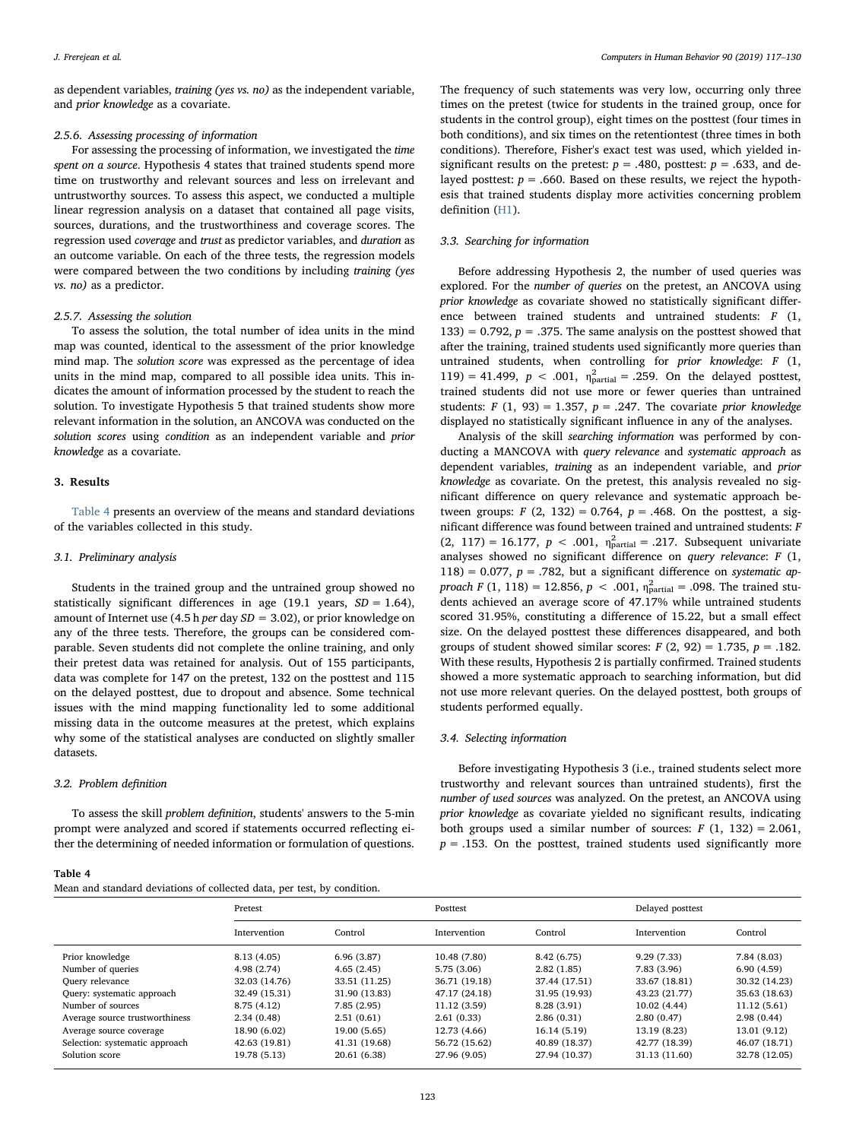as dependent variables, training (yes vs. no) as the independent variable, and prior knowledge as a covariate.

# 2.5.6. Assessing processing of information

For assessing the processing of information, we investigated the time spent on a source. Hypothesis 4 states that trained students spend more time on trustworthy and relevant sources and less on irrelevant and untrustworthy sources. To assess this aspect, we conducted a multiple linear regression analysis on a dataset that contained all page visits, sources, durations, and the trustworthiness and coverage scores. The regression used coverage and trust as predictor variables, and duration as an outcome variable. On each of the three tests, the regression models were compared between the two conditions by including training (yes vs. no) as a predictor.

# 2.5.7. Assessing the solution

To assess the solution, the total number of idea units in the mind map was counted, identical to the assessment of the prior knowledge mind map. The solution score was expressed as the percentage of idea units in the mind map, compared to all possible idea units. This indicates the amount of information processed by the student to reach the solution. To investigate Hypothesis 5 that trained students show more relevant information in the solution, an ANCOVA was conducted on the solution scores using condition as an independent variable and prior knowledge as a covariate.

#### 3. Results

[Table 4](#page-6-0) presents an overview of the means and standard deviations of the variables collected in this study.

#### 3.1. Preliminary analysis

Students in the trained group and the untrained group showed no statistically significant differences in age (19.1 years,  $SD = 1.64$ ), amount of Internet use (4.5 h per day  $SD = 3.02$ ), or prior knowledge on any of the three tests. Therefore, the groups can be considered comparable. Seven students did not complete the online training, and only their pretest data was retained for analysis. Out of 155 participants, data was complete for 147 on the pretest, 132 on the posttest and 115 on the delayed posttest, due to dropout and absence. Some technical issues with the mind mapping functionality led to some additional missing data in the outcome measures at the pretest, which explains why some of the statistical analyses are conducted on slightly smaller datasets.

# 3.2. Problem definition

To assess the skill problem definition, students' answers to the 5-min prompt were analyzed and scored if statements occurred reflecting either the determining of needed information or formulation of questions.

#### <span id="page-6-0"></span>Table 4

Mean and standard deviations of collected data, per test, by condition.

The frequency of such statements was very low, occurring only three times on the pretest (twice for students in the trained group, once for students in the control group), eight times on the posttest (four times in both conditions), and six times on the retentiontest (three times in both conditions). Therefore, Fisher's exact test was used, which yielded insignificant results on the pretest:  $p = .480$ , posttest:  $p = .633$ , and delayed posttest:  $p = .660$ . Based on these results, we reject the hypothesis that trained students display more activities concerning problem definition ([H1\)](#page-3-0).

# 3.3. Searching for information

Before addressing Hypothesis 2, the number of used queries was explored. For the number of queries on the pretest, an ANCOVA using prior knowledge as covariate showed no statistically significant difference between trained students and untrained students: F (1, 133) = 0.792,  $p = 0.375$ . The same analysis on the posttest showed that after the training, trained students used significantly more queries than untrained students, when controlling for prior knowledge: F (1, 119) = 41.499,  $p < .001$ ,  $\eta_{\text{partial}}^2 = .259$ . On the delayed posttest, trained students did not use more or fewer queries than untrained students:  $F(1, 93) = 1.357$ ,  $p = .247$ . The covariate prior knowledge displayed no statistically significant influence in any of the analyses.

Analysis of the skill searching information was performed by conducting a MANCOVA with query relevance and systematic approach as dependent variables, training as an independent variable, and prior knowledge as covariate. On the pretest, this analysis revealed no significant difference on query relevance and systematic approach between groups:  $F(2, 132) = 0.764$ ,  $p = .468$ . On the posttest, a significant difference was found between trained and untrained students: F  $(2, 117) = 16.177, p < .001, \eta_{\text{partial}}^2 = .217.$  Subsequent univariate analyses showed no significant difference on query relevance: F (1, 118) = 0.077,  $p = .782$ , but a significant difference on systematic ap*proach F* (1, 118) = 12.856, *p* < .001,  $\eta_{\text{partial}}^2$  = .098. The trained students achieved an average score of 47.17% while untrained students scored 31.95%, constituting a difference of 15.22, but a small effect size. On the delayed posttest these differences disappeared, and both groups of student showed similar scores:  $F(2, 92) = 1.735$ ,  $p = .182$ . With these results, Hypothesis 2 is partially confirmed. Trained students showed a more systematic approach to searching information, but did not use more relevant queries. On the delayed posttest, both groups of students performed equally.

#### 3.4. Selecting information

Before investigating Hypothesis 3 (i.e., trained students select more trustworthy and relevant sources than untrained students), first the number of used sources was analyzed. On the pretest, an ANCOVA using prior knowledge as covariate yielded no significant results, indicating both groups used a similar number of sources:  $F(1, 132) = 2.061$ ,  $p = .153$ . On the posttest, trained students used significantly more

|                                | Pretest       |               | Posttest      |               | Delayed posttest |               |
|--------------------------------|---------------|---------------|---------------|---------------|------------------|---------------|
|                                | Intervention  | Control       | Intervention  | Control       | Intervention     | Control       |
| Prior knowledge                | 8.13(4.05)    | 6.96(3.87)    | 10.48 (7.80)  | 8.42(6.75)    | 9.29(7.33)       | 7.84 (8.03)   |
| Number of queries              | 4.98(2.74)    | 4.65(2.45)    | 5.75 (3.06)   | 2.82(1.85)    | 7.83 (3.96)      | 6.90(4.59)    |
| Query relevance                | 32.03 (14.76) | 33.51 (11.25) | 36.71 (19.18) | 37.44 (17.51) | 33.67 (18.81)    | 30.32 (14.23) |
| Query: systematic approach     | 32.49 (15.31) | 31.90 (13.83) | 47.17 (24.18) | 31.95 (19.93) | 43.23 (21.77)    | 35.63 (18.63) |
| Number of sources              | 8.75 (4.12)   | 7.85(2.95)    | 11.12 (3.59)  | 8.28 (3.91)   | 10.02(4.44)      | 11.12(5.61)   |
| Average source trustworthiness | 2.34(0.48)    | 2.51(0.61)    | 2.61(0.33)    | 2.86(0.31)    | 2.80(0.47)       | 2.98(0.44)    |
| Average source coverage        | 18.90 (6.02)  | 19.00 (5.65)  | 12.73 (4.66)  | 16.14(5.19)   | 13.19 (8.23)     | 13.01 (9.12)  |
| Selection: systematic approach | 42.63 (19.81) | 41.31 (19.68) | 56.72 (15.62) | 40.89 (18.37) | 42.77 (18.39)    | 46.07 (18.71) |
| Solution score                 | 19.78 (5.13)  | 20.61 (6.38)  | 27.96 (9.05)  | 27.94 (10.37) | 31.13 (11.60)    | 32.78 (12.05) |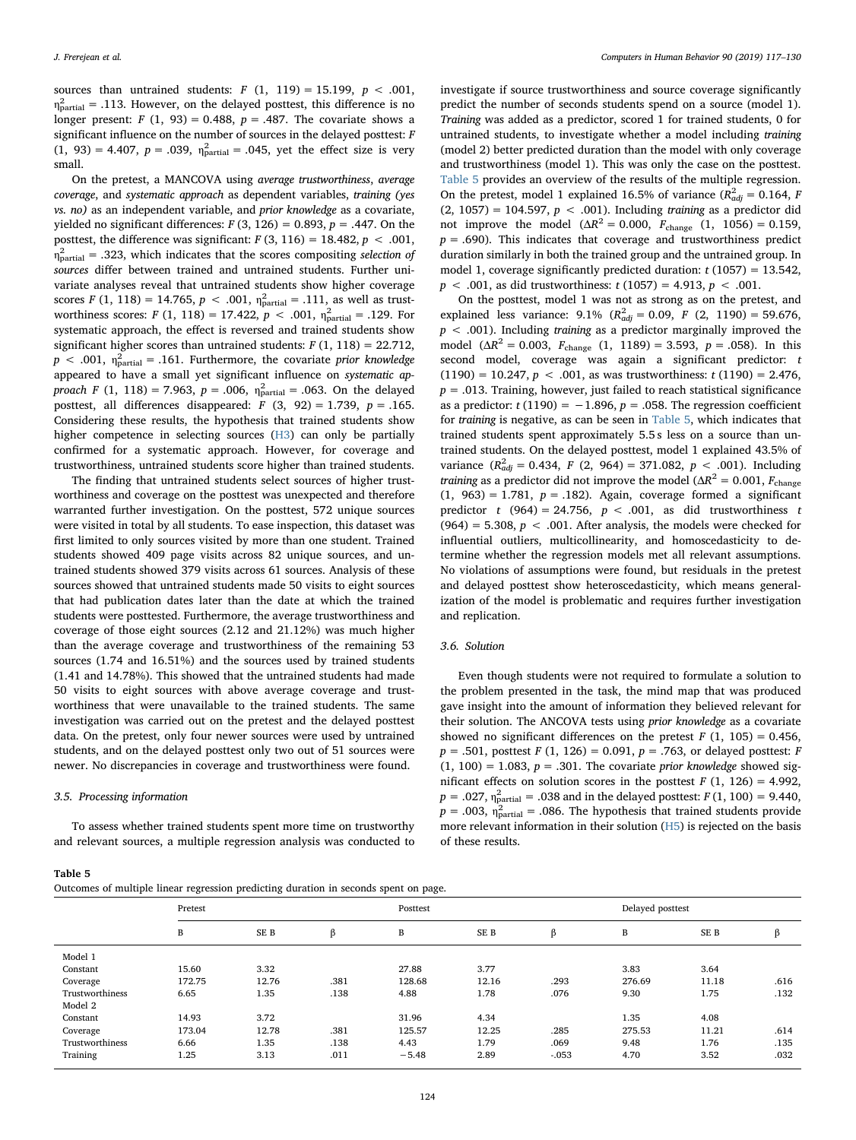sources than untrained students:  $F(1, 119) = 15.199$ ,  $p < .001$ ,  $\eta_{\text{partial}}^2 = .113$ . However, on the delayed posttest, this difference is no longer present:  $F(1, 93) = 0.488$ ,  $p = .487$ . The covariate shows a significant influence on the number of sources in the delayed posttest: F  $(1, 93) = 4.407$ ,  $p = .039$ ,  $\eta_{\text{partial}}^2 = .045$ , yet the effect size is very small.

On the pretest, a MANCOVA using average trustworthiness, average coverage, and systematic approach as dependent variables, training (yes vs. no) as an independent variable, and prior knowledge as a covariate, yielded no significant differences:  $F(3, 126) = 0.893$ ,  $p = .447$ . On the posttest, the difference was significant:  $F(3, 116) = 18.482$ ,  $p < .001$ ,  $\eta_{\text{partial}}^2 = .323$ , which indicates that the scores compositing selection of sources differ between trained and untrained students. Further univariate analyses reveal that untrained students show higher coverage scores  $F(1, 118) = 14.765$ ,  $p < .001$ ,  $\eta_{\text{partial}}^2 = .111$ , as well as trustworthiness scores:  $F(1, 118) = 17.422, p < .001, \eta_{\text{partial}}^2 = .129$ . For systematic approach, the effect is reversed and trained students show significant higher scores than untrained students:  $F(1, 118) = 22.712$ ,  $p < .001$ ,  $\eta_{\text{partial}}^2 = .161$ . Furthermore, the covariate *prior knowledge* appeared to have a small yet significant influence on systematic approach F (1, 118) = 7.963,  $p = .006$ ,  $\eta_{\text{partial}}^2 = .063$ . On the delayed posttest, all differences disappeared:  $F(3, 92) = 1.739$ ,  $p = .165$ . Considering these results, the hypothesis that trained students show higher competence in selecting sources ([H3\)](#page-3-1) can only be partially confirmed for a systematic approach. However, for coverage and trustworthiness, untrained students score higher than trained students.

The finding that untrained students select sources of higher trustworthiness and coverage on the posttest was unexpected and therefore warranted further investigation. On the posttest, 572 unique sources were visited in total by all students. To ease inspection, this dataset was first limited to only sources visited by more than one student. Trained students showed 409 page visits across 82 unique sources, and untrained students showed 379 visits across 61 sources. Analysis of these sources showed that untrained students made 50 visits to eight sources that had publication dates later than the date at which the trained students were posttested. Furthermore, the average trustworthiness and coverage of those eight sources (2.12 and 21.12%) was much higher than the average coverage and trustworthiness of the remaining 53 sources (1.74 and 16.51%) and the sources used by trained students (1.41 and 14.78%). This showed that the untrained students had made 50 visits to eight sources with above average coverage and trustworthiness that were unavailable to the trained students. The same investigation was carried out on the pretest and the delayed posttest data. On the pretest, only four newer sources were used by untrained students, and on the delayed posttest only two out of 51 sources were newer. No discrepancies in coverage and trustworthiness were found.

#### 3.5. Processing information

<span id="page-7-0"></span>Table 5

To assess whether trained students spent more time on trustworthy and relevant sources, a multiple regression analysis was conducted to investigate if source trustworthiness and source coverage significantly predict the number of seconds students spend on a source (model 1). Training was added as a predictor, scored 1 for trained students, 0 for untrained students, to investigate whether a model including training (model 2) better predicted duration than the model with only coverage and trustworthiness (model 1). This was only the case on the posttest. [Table 5](#page-7-0) provides an overview of the results of the multiple regression. On the pretest, model 1 explained 16.5% of variance ( $R_{adj}^2 = 0.164$ , F  $(2, 1057) = 104.597$ ,  $p < .001$ ). Including *training* as a predictor did not improve the model ( $\Delta R^2 = 0.000$ ,  $F_{\text{change}}$  (1, 1056) = 0.159,  $p = .690$ ). This indicates that coverage and trustworthiness predict duration similarly in both the trained group and the untrained group. In model 1, coverage significantly predicted duration:  $t(1057) = 13.542$ .  $p < .001$ , as did trustworthiness:  $t (1057) = 4.913$ ,  $p < .001$ .

On the posttest, model 1 was not as strong as on the pretest, and explained less variance:  $9.1\%$  ( $R_{adj}^2 = 0.09$ , *F* (2, 1190) = 59.676,  $p < .001$ ). Including *training* as a predictor marginally improved the model ( $\Delta R^2 = 0.003$ ,  $F_{\text{change}}$  (1, 1189) = 3.593, p = .058). In this second model, coverage was again a significant predictor: t  $(1190) = 10.247$ ,  $p < .001$ , as was trustworthiness: t (1190) = 2.476,  $p = .013$ . Training, however, just failed to reach statistical significance as a predictor:  $t(1190) = -1.896$ ,  $p = .058$ . The regression coefficient for training is negative, as can be seen in [Table 5,](#page-7-0) which indicates that trained students spent approximately 5.5 s less on a source than untrained students. On the delayed posttest, model 1 explained 43.5% of variance  $(R_{adj}^2 = 0.434, F (2, 964) = 371.082, p < .001)$ . Including *training* as a predictor did not improve the model ( $\Delta R^2 = 0.001$ ,  $F_{\text{change}}$ ) (1, 963) = 1.781,  $p = .182$ ). Again, coverage formed a significant predictor t (964) = 24.756,  $p < .001$ , as did trustworthiness t (964) = 5.308,  $p < .001$ . After analysis, the models were checked for influential outliers, multicollinearity, and homoscedasticity to determine whether the regression models met all relevant assumptions. No violations of assumptions were found, but residuals in the pretest and delayed posttest show heteroscedasticity, which means generalization of the model is problematic and requires further investigation and replication.

# 3.6. Solution

Even though students were not required to formulate a solution to the problem presented in the task, the mind map that was produced gave insight into the amount of information they believed relevant for their solution. The ANCOVA tests using prior knowledge as a covariate showed no significant differences on the pretest  $F(1, 105) = 0.456$ ,  $p = .501$ , posttest F (1, 126) = 0.091,  $p = .763$ , or delayed posttest: F  $(1, 100) = 1.083$ ,  $p = .301$ . The covariate *prior knowledge* showed significant effects on solution scores in the posttest  $F(1, 126) = 4.992$ ,  $p = .027$ ,  $\eta_{\text{partial}}^2 = .038$  and in the delayed posttest:  $F(1, 100) = 9.440$ ,  $p = .003$ ,  $\eta_{\text{partial}}^2 = .086$ . The hypothesis that trained students provide more relevant information in their solution ([H5](#page-3-2)) is rejected on the basis of these results.

| Outcomes of multiple linear regression predicting duration in seconds spent on page. |         |       |          |         |       |         |                  |       |      |
|--------------------------------------------------------------------------------------|---------|-------|----------|---------|-------|---------|------------------|-------|------|
|                                                                                      | Pretest |       | Posttest |         |       |         | Delayed posttest |       |      |
|                                                                                      | B       | SE B  | β        | B       | SE B  | β       | В                | SE B  | β    |
| Model 1                                                                              |         |       |          |         |       |         |                  |       |      |
| Constant                                                                             | 15.60   | 3.32  |          | 27.88   | 3.77  |         | 3.83             | 3.64  |      |
| Coverage                                                                             | 172.75  | 12.76 | .381     | 128.68  | 12.16 | .293    | 276.69           | 11.18 | .616 |
| Trustworthiness                                                                      | 6.65    | 1.35  | .138     | 4.88    | 1.78  | .076    | 9.30             | 1.75  | .132 |
| Model 2                                                                              |         |       |          |         |       |         |                  |       |      |
| Constant                                                                             | 14.93   | 3.72  |          | 31.96   | 4.34  |         | 1.35             | 4.08  |      |
| Coverage                                                                             | 173.04  | 12.78 | .381     | 125.57  | 12.25 | .285    | 275.53           | 11.21 | .614 |
| Trustworthiness                                                                      | 6.66    | 1.35  | .138     | 4.43    | 1.79  | .069    | 9.48             | 1.76  | .135 |
| Training                                                                             | 1.25    | 3.13  | .011     | $-5.48$ | 2.89  | $-.053$ | 4.70             | 3.52  | .032 |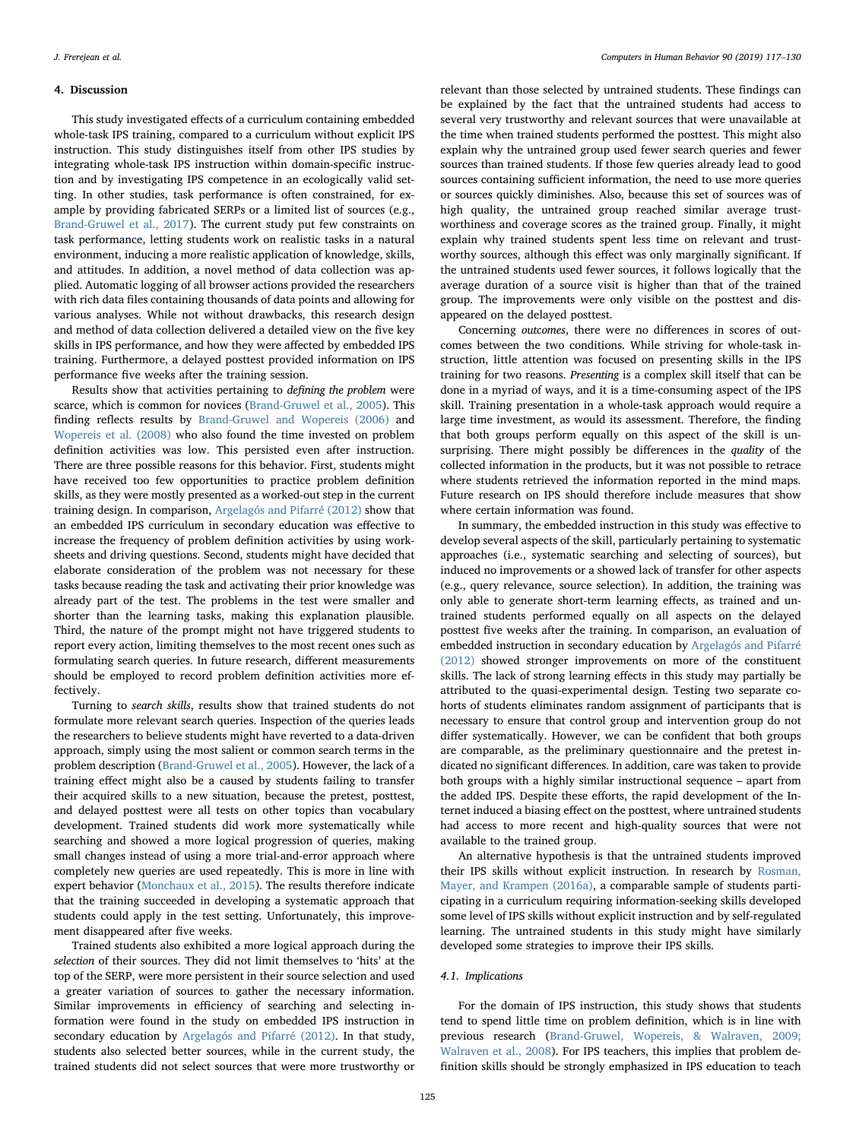#### 4. Discussion

This study investigated effects of a curriculum containing embedded whole-task IPS training, compared to a curriculum without explicit IPS instruction. This study distinguishes itself from other IPS studies by integrating whole-task IPS instruction within domain-specific instruction and by investigating IPS competence in an ecologically valid setting. In other studies, task performance is often constrained, for example by providing fabricated SERPs or a limited list of sources (e.g., [Brand-Gruwel et al., 2017\)](#page-12-10). The current study put few constraints on task performance, letting students work on realistic tasks in a natural environment, inducing a more realistic application of knowledge, skills, and attitudes. In addition, a novel method of data collection was applied. Automatic logging of all browser actions provided the researchers with rich data files containing thousands of data points and allowing for various analyses. While not without drawbacks, this research design and method of data collection delivered a detailed view on the five key skills in IPS performance, and how they were affected by embedded IPS training. Furthermore, a delayed posttest provided information on IPS performance five weeks after the training session.

Results show that activities pertaining to defining the problem were scarce, which is common for novices ([Brand-Gruwel et al., 2005\)](#page-12-6). This finding reflects results by [Brand-Gruwel and Wopereis \(2006\)](#page-12-21) and [Wopereis et al. \(2008\)](#page-13-12) who also found the time invested on problem definition activities was low. This persisted even after instruction. There are three possible reasons for this behavior. First, students might have received too few opportunities to practice problem definition skills, as they were mostly presented as a worked-out step in the current training design. In comparison, [Argelagós and Pifarré \(2012\)](#page-12-19) show that an embedded IPS curriculum in secondary education was effective to increase the frequency of problem definition activities by using worksheets and driving questions. Second, students might have decided that elaborate consideration of the problem was not necessary for these tasks because reading the task and activating their prior knowledge was already part of the test. The problems in the test were smaller and shorter than the learning tasks, making this explanation plausible. Third, the nature of the prompt might not have triggered students to report every action, limiting themselves to the most recent ones such as formulating search queries. In future research, different measurements should be employed to record problem definition activities more effectively.

Turning to search skills, results show that trained students do not formulate more relevant search queries. Inspection of the queries leads the researchers to believe students might have reverted to a data-driven approach, simply using the most salient or common search terms in the problem description [\(Brand-Gruwel et al., 2005](#page-12-6)). However, the lack of a training effect might also be a caused by students failing to transfer their acquired skills to a new situation, because the pretest, posttest, and delayed posttest were all tests on other topics than vocabulary development. Trained students did work more systematically while searching and showed a more logical progression of queries, making small changes instead of using a more trial-and-error approach where completely new queries are used repeatedly. This is more in line with expert behavior [\(Monchaux et al., 2015\)](#page-12-24). The results therefore indicate that the training succeeded in developing a systematic approach that students could apply in the test setting. Unfortunately, this improvement disappeared after five weeks.

Trained students also exhibited a more logical approach during the selection of their sources. They did not limit themselves to 'hits' at the top of the SERP, were more persistent in their source selection and used a greater variation of sources to gather the necessary information. Similar improvements in efficiency of searching and selecting information were found in the study on embedded IPS instruction in secondary education by [Argelagós and Pifarré \(2012\)](#page-12-19). In that study, students also selected better sources, while in the current study, the trained students did not select sources that were more trustworthy or

relevant than those selected by untrained students. These findings can be explained by the fact that the untrained students had access to several very trustworthy and relevant sources that were unavailable at the time when trained students performed the posttest. This might also explain why the untrained group used fewer search queries and fewer sources than trained students. If those few queries already lead to good sources containing sufficient information, the need to use more queries or sources quickly diminishes. Also, because this set of sources was of high quality, the untrained group reached similar average trustworthiness and coverage scores as the trained group. Finally, it might explain why trained students spent less time on relevant and trustworthy sources, although this effect was only marginally significant. If the untrained students used fewer sources, it follows logically that the average duration of a source visit is higher than that of the trained group. The improvements were only visible on the posttest and disappeared on the delayed posttest.

Concerning outcomes, there were no differences in scores of outcomes between the two conditions. While striving for whole-task instruction, little attention was focused on presenting skills in the IPS training for two reasons. Presenting is a complex skill itself that can be done in a myriad of ways, and it is a time-consuming aspect of the IPS skill. Training presentation in a whole-task approach would require a large time investment, as would its assessment. Therefore, the finding that both groups perform equally on this aspect of the skill is unsurprising. There might possibly be differences in the quality of the collected information in the products, but it was not possible to retrace where students retrieved the information reported in the mind maps. Future research on IPS should therefore include measures that show where certain information was found.

In summary, the embedded instruction in this study was effective to develop several aspects of the skill, particularly pertaining to systematic approaches (i.e., systematic searching and selecting of sources), but induced no improvements or a showed lack of transfer for other aspects (e.g., query relevance, source selection). In addition, the training was only able to generate short-term learning effects, as trained and untrained students performed equally on all aspects on the delayed posttest five weeks after the training. In comparison, an evaluation of embedded instruction in secondary education by [Argelagós and Pifarré](#page-12-19) [\(2012\)](#page-12-19) showed stronger improvements on more of the constituent skills. The lack of strong learning effects in this study may partially be attributed to the quasi-experimental design. Testing two separate cohorts of students eliminates random assignment of participants that is necessary to ensure that control group and intervention group do not differ systematically. However, we can be confident that both groups are comparable, as the preliminary questionnaire and the pretest indicated no significant differences. In addition, care was taken to provide both groups with a highly similar instructional sequence – apart from the added IPS. Despite these efforts, the rapid development of the Internet induced a biasing effect on the posttest, where untrained students had access to more recent and high-quality sources that were not available to the trained group.

An alternative hypothesis is that the untrained students improved their IPS skills without explicit instruction. In research by [Rosman,](#page-12-25) [Mayer, and Krampen \(2016a\),](#page-12-25) a comparable sample of students participating in a curriculum requiring information-seeking skills developed some level of IPS skills without explicit instruction and by self-regulated learning. The untrained students in this study might have similarly developed some strategies to improve their IPS skills.

### 4.1. Implications

For the domain of IPS instruction, this study shows that students tend to spend little time on problem definition, which is in line with previous research ([Brand-Gruwel, Wopereis, & Walraven, 2009;](#page-12-26) [Walraven et al., 2008\)](#page-12-26). For IPS teachers, this implies that problem definition skills should be strongly emphasized in IPS education to teach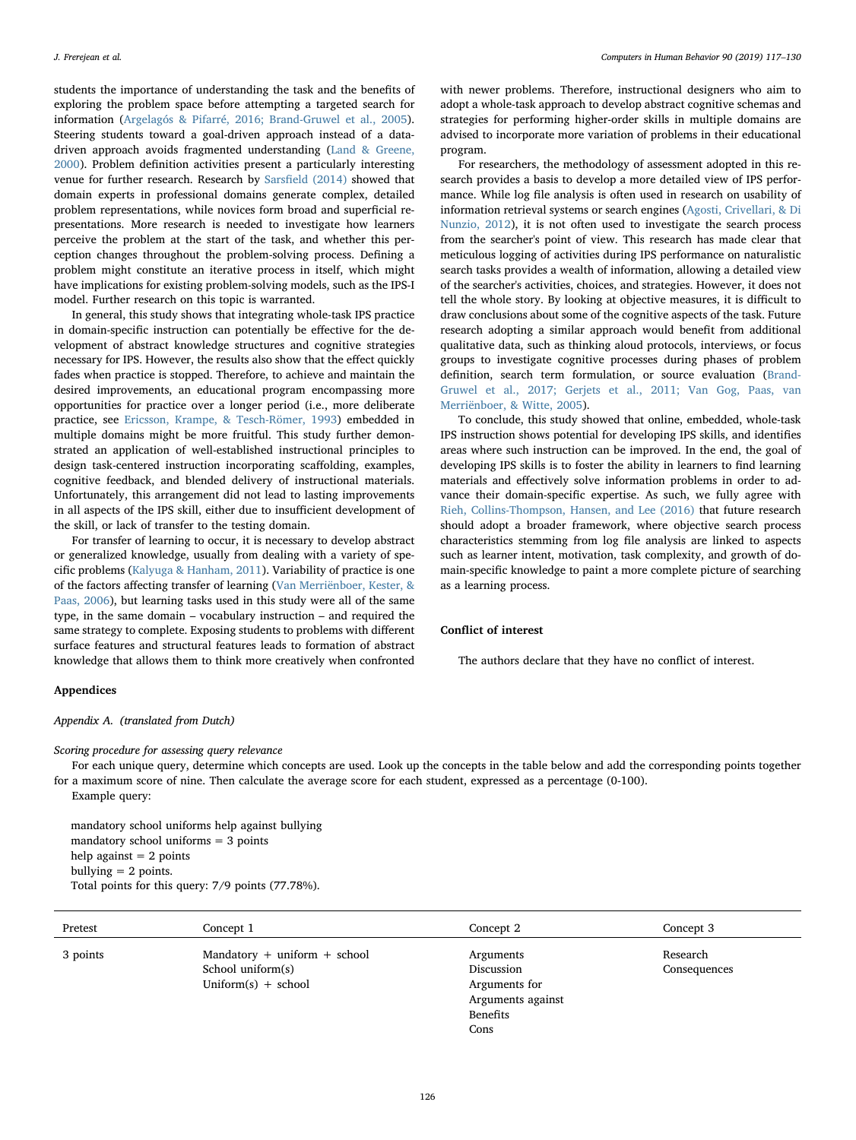students the importance of understanding the task and the benefits of exploring the problem space before attempting a targeted search for information [\(Argelagós & Pifarré, 2016; Brand-Gruwel et al., 2005](#page-12-27)). Steering students toward a goal-driven approach instead of a datadriven approach avoids fragmented understanding [\(Land & Greene,](#page-12-28) [2000\)](#page-12-28). Problem definition activities present a particularly interesting venue for further research. Research by Sarsfi[eld \(2014\)](#page-13-15) showed that domain experts in professional domains generate complex, detailed problem representations, while novices form broad and superficial representations. More research is needed to investigate how learners perceive the problem at the start of the task, and whether this perception changes throughout the problem-solving process. Defining a problem might constitute an iterative process in itself, which might have implications for existing problem-solving models, such as the IPS-I model. Further research on this topic is warranted.

In general, this study shows that integrating whole-task IPS practice in domain-specific instruction can potentially be effective for the development of abstract knowledge structures and cognitive strategies necessary for IPS. However, the results also show that the effect quickly fades when practice is stopped. Therefore, to achieve and maintain the desired improvements, an educational program encompassing more opportunities for practice over a longer period (i.e., more deliberate practice, see [Ericsson, Krampe, & Tesch-Römer, 1993\)](#page-12-29) embedded in multiple domains might be more fruitful. This study further demonstrated an application of well-established instructional principles to design task-centered instruction incorporating scaffolding, examples, cognitive feedback, and blended delivery of instructional materials. Unfortunately, this arrangement did not lead to lasting improvements in all aspects of the IPS skill, either due to insufficient development of the skill, or lack of transfer to the testing domain.

For transfer of learning to occur, it is necessary to develop abstract or generalized knowledge, usually from dealing with a variety of specific problems [\(Kalyuga & Hanham, 2011](#page-12-30)). Variability of practice is one of the factors affecting transfer of learning [\(Van Merriënboer, Kester, &](#page-13-16) [Paas, 2006](#page-13-16)), but learning tasks used in this study were all of the same type, in the same domain – vocabulary instruction – and required the same strategy to complete. Exposing students to problems with different surface features and structural features leads to formation of abstract knowledge that allows them to think more creatively when confronted

#### <span id="page-9-0"></span>Appendices

#### Appendix A. (translated from Dutch)

#### Scoring procedure for assessing query relevance

For each unique query, determine which concepts are used. Look up the concepts in the table below and add the corresponding points together for a maximum score of nine. Then calculate the average score for each student, expressed as a percentage (0-100). Example query:

mandatory school uniforms help against bullying mandatory school uniforms = 3 points help against  $= 2$  points bullying = 2 points. Total points for this query: 7/9 points (77.78%).

with newer problems. Therefore, instructional designers who aim to adopt a whole-task approach to develop abstract cognitive schemas and strategies for performing higher-order skills in multiple domains are advised to incorporate more variation of problems in their educational program.

For researchers, the methodology of assessment adopted in this research provides a basis to develop a more detailed view of IPS performance. While log file analysis is often used in research on usability of information retrieval systems or search engines ([Agosti, Crivellari, & Di](#page-12-31) [Nunzio, 2012\)](#page-12-31), it is not often used to investigate the search process from the searcher's point of view. This research has made clear that meticulous logging of activities during IPS performance on naturalistic search tasks provides a wealth of information, allowing a detailed view of the searcher's activities, choices, and strategies. However, it does not tell the whole story. By looking at objective measures, it is difficult to draw conclusions about some of the cognitive aspects of the task. Future research adopting a similar approach would benefit from additional qualitative data, such as thinking aloud protocols, interviews, or focus groups to investigate cognitive processes during phases of problem definition, search term formulation, or source evaluation [\(Brand-](#page-12-10)[Gruwel et al., 2017; Gerjets et al., 2011; Van Gog, Paas, van](#page-12-10) [Merriënboer, & Witte, 2005](#page-12-10)).

To conclude, this study showed that online, embedded, whole-task IPS instruction shows potential for developing IPS skills, and identifies areas where such instruction can be improved. In the end, the goal of developing IPS skills is to foster the ability in learners to find learning materials and effectively solve information problems in order to advance their domain-specific expertise. As such, we fully agree with [Rieh, Collins-Thompson, Hansen, and Lee \(2016\)](#page-12-32) that future research should adopt a broader framework, where objective search process characteristics stemming from log file analysis are linked to aspects such as learner intent, motivation, task complexity, and growth of domain-specific knowledge to paint a more complete picture of searching as a learning process.

# Conflict of interest

The authors declare that they have no conflict of interest.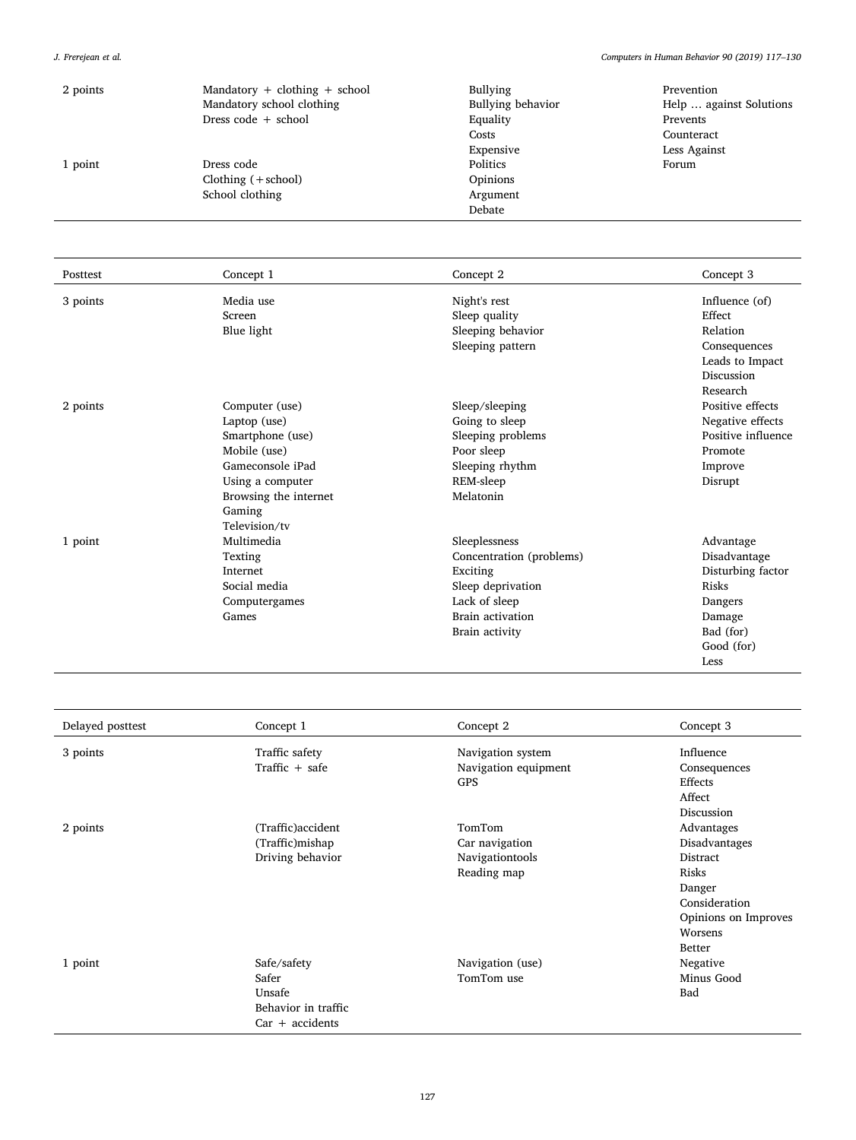| Mandatory $+$ clothing $+$ school | <b>Bullying</b>   | Prevention              |
|-----------------------------------|-------------------|-------------------------|
| Mandatory school clothing         | Bullying behavior | Help  against Solutions |
| Dress code $+$ school             | Equality          | Prevents                |
|                                   | Costs             | Counteract              |
|                                   | Expensive         | Less Against            |
| Dress code                        | Politics          | Forum                   |
| Clothing $(+$ school)             | Opinions          |                         |
| School clothing                   | Argument          |                         |
|                                   | Debate            |                         |
|                                   |                   |                         |

| Posttest | Concept 1             | Concept 2                | Concept 3          |
|----------|-----------------------|--------------------------|--------------------|
| 3 points | Media use             | Night's rest             | Influence (of)     |
|          | Screen                | Sleep quality            | Effect             |
|          | Blue light            | Sleeping behavior        | Relation           |
|          |                       | Sleeping pattern         | Consequences       |
|          |                       |                          | Leads to Impact    |
|          |                       |                          | Discussion         |
|          |                       |                          | Research           |
| 2 points | Computer (use)        | Sleep/sleeping           | Positive effects   |
|          | Laptop (use)          | Going to sleep           | Negative effects   |
|          | Smartphone (use)      | Sleeping problems        | Positive influence |
|          | Mobile (use)          | Poor sleep               | Promote            |
|          | Gameconsole iPad      | Sleeping rhythm          | Improve            |
|          | Using a computer      | REM-sleep                | Disrupt            |
|          | Browsing the internet | Melatonin                |                    |
|          | Gaming                |                          |                    |
|          | Television/tv         |                          |                    |
| 1 point  | Multimedia            | Sleeplessness            | Advantage          |
|          | Texting               | Concentration (problems) | Disadvantage       |
|          | Internet              | Exciting                 | Disturbing factor  |
|          | Social media          | Sleep deprivation        | <b>Risks</b>       |
|          | Computergames         | Lack of sleep            | Dangers            |
|          | Games                 | Brain activation         | Damage             |
|          |                       | Brain activity           | Bad (for)          |
|          |                       |                          | Good (for)         |
|          |                       |                          | Less               |

| Delayed posttest | Concept 1           | Concept 2            | Concept 3            |
|------------------|---------------------|----------------------|----------------------|
| 3 points         | Traffic safety      | Navigation system    | Influence            |
|                  | Traffic $+$ safe    | Navigation equipment | Consequences         |
|                  |                     | <b>GPS</b>           | Effects              |
|                  |                     |                      | Affect               |
|                  |                     |                      | Discussion           |
| 2 points         | (Traffic) accident  | TomTom               | Advantages           |
|                  | (Traffic)mishap     | Car navigation       | Disadvantages        |
|                  | Driving behavior    | Navigationtools      | Distract             |
|                  |                     | Reading map          | Risks                |
|                  |                     |                      | Danger               |
|                  |                     |                      | Consideration        |
|                  |                     |                      | Opinions on Improves |
|                  |                     |                      | Worsens              |
|                  |                     |                      | <b>Better</b>        |
| 1 point          | Safe/safety         | Navigation (use)     | Negative             |
|                  | Safer               | TomTom use           | Minus Good           |
|                  | Unsafe              |                      | Bad                  |
|                  | Behavior in traffic |                      |                      |
|                  | $Car + accidents$   |                      |                      |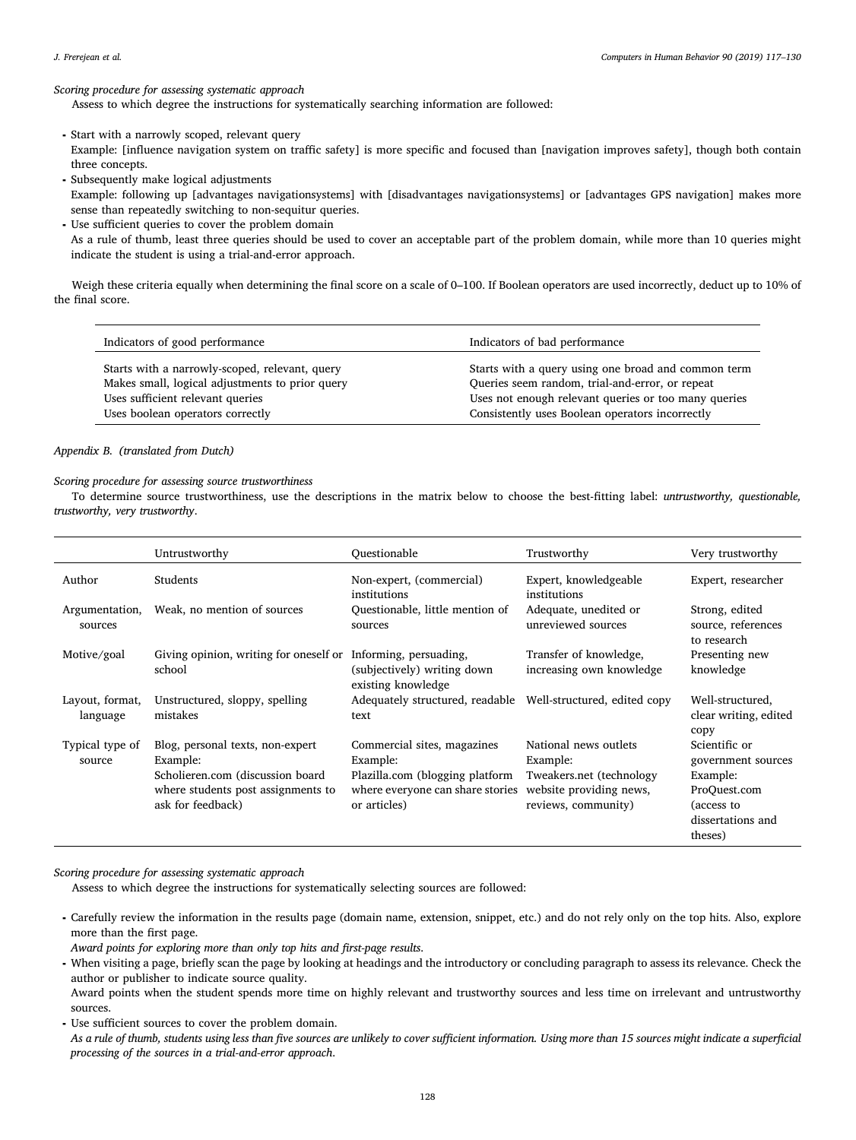Scoring procedure for assessing systematic approach

Assess to which degree the instructions for systematically searching information are followed:

⁃ Start with a narrowly scoped, relevant query Example: [influence navigation system on traffic safety] is more specific and focused than [navigation improves safety], though both contain three concepts.

⁃ Subsequently make logical adjustments

Example: following up [advantages navigationsystems] with [disadvantages navigationsystems] or [advantages GPS navigation] makes more sense than repeatedly switching to non-sequitur queries.

⁃ Use sufficient queries to cover the problem domain As a rule of thumb, least three queries should be used to cover an acceptable part of the problem domain, while more than 10 queries might indicate the student is using a trial-and-error approach.

Weigh these criteria equally when determining the final score on a scale of 0–100. If Boolean operators are used incorrectly, deduct up to 10% of the final score.

| Indicators of good performance                  | Indicators of bad performance                        |  |  |
|-------------------------------------------------|------------------------------------------------------|--|--|
| Starts with a narrowly-scoped, relevant, query  | Starts with a query using one broad and common term  |  |  |
| Makes small, logical adjustments to prior query | Queries seem random, trial-and-error, or repeat      |  |  |
| Uses sufficient relevant queries                | Uses not enough relevant queries or too many queries |  |  |
| Uses boolean operators correctly                | Consistently uses Boolean operators incorrectly      |  |  |

# Appendix B. (translated from Dutch)

# Scoring procedure for assessing source trustworthiness

To determine source trustworthiness, use the descriptions in the matrix below to choose the best-fitting label: untrustworthy, questionable, trustworthy, very trustworthy.

|                             | Untrustworthy                                                                                                                               | Ouestionable                                                                                                                   | Trustworthy                                                                                                      | Very trustworthy                                                                                              |
|-----------------------------|---------------------------------------------------------------------------------------------------------------------------------------------|--------------------------------------------------------------------------------------------------------------------------------|------------------------------------------------------------------------------------------------------------------|---------------------------------------------------------------------------------------------------------------|
| Author                      | <b>Students</b>                                                                                                                             | Non-expert, (commercial)<br>institutions                                                                                       | Expert, knowledgeable<br>institutions                                                                            | Expert, researcher                                                                                            |
| Argumentation,<br>sources   | Weak, no mention of sources                                                                                                                 | Questionable, little mention of<br>sources                                                                                     | Adequate, unedited or<br>unreviewed sources                                                                      | Strong, edited<br>source, references<br>to research                                                           |
| Motive/goal                 | Giving opinion, writing for oneself or<br>school                                                                                            | Informing, persuading,<br>(subjectively) writing down<br>existing knowledge                                                    | Transfer of knowledge,<br>increasing own knowledge                                                               | Presenting new<br>knowledge                                                                                   |
| Layout, format,<br>language | Unstructured, sloppy, spelling<br>mistakes                                                                                                  | Adequately structured, readable Well-structured, edited copy<br>text                                                           |                                                                                                                  | Well-structured,<br>clear writing, edited<br>copy                                                             |
| Typical type of<br>source   | Blog, personal texts, non-expert<br>Example:<br>Scholieren.com (discussion board<br>where students post assignments to<br>ask for feedback) | Commercial sites, magazines<br>Example:<br>Plazilla.com (blogging platform<br>where everyone can share stories<br>or articles) | National news outlets<br>Example:<br>Tweakers.net (technology)<br>website providing news,<br>reviews, community) | Scientific or<br>government sources<br>Example:<br>ProQuest.com<br>(access to<br>dissertations and<br>theses) |

Scoring procedure for assessing systematic approach

Assess to which degree the instructions for systematically selecting sources are followed:

- ⁃ Carefully review the information in the results page (domain name, extension, snippet, etc.) and do not rely only on the top hits. Also, explore more than the first page.
- Award points for exploring more than only top hits and first-page results.
- ⁃ When visiting a page, briefly scan the page by looking at headings and the introductory or concluding paragraph to assess its relevance. Check the author or publisher to indicate source quality.

Award points when the student spends more time on highly relevant and trustworthy sources and less time on irrelevant and untrustworthy sources.

⁃ Use sufficient sources to cover the problem domain.

As a rule of thumb, students using less than five sources are unlikely to cover sufficient information. Using more than 15 sources might indicate a superficial processing of the sources in a trial-and-error approach.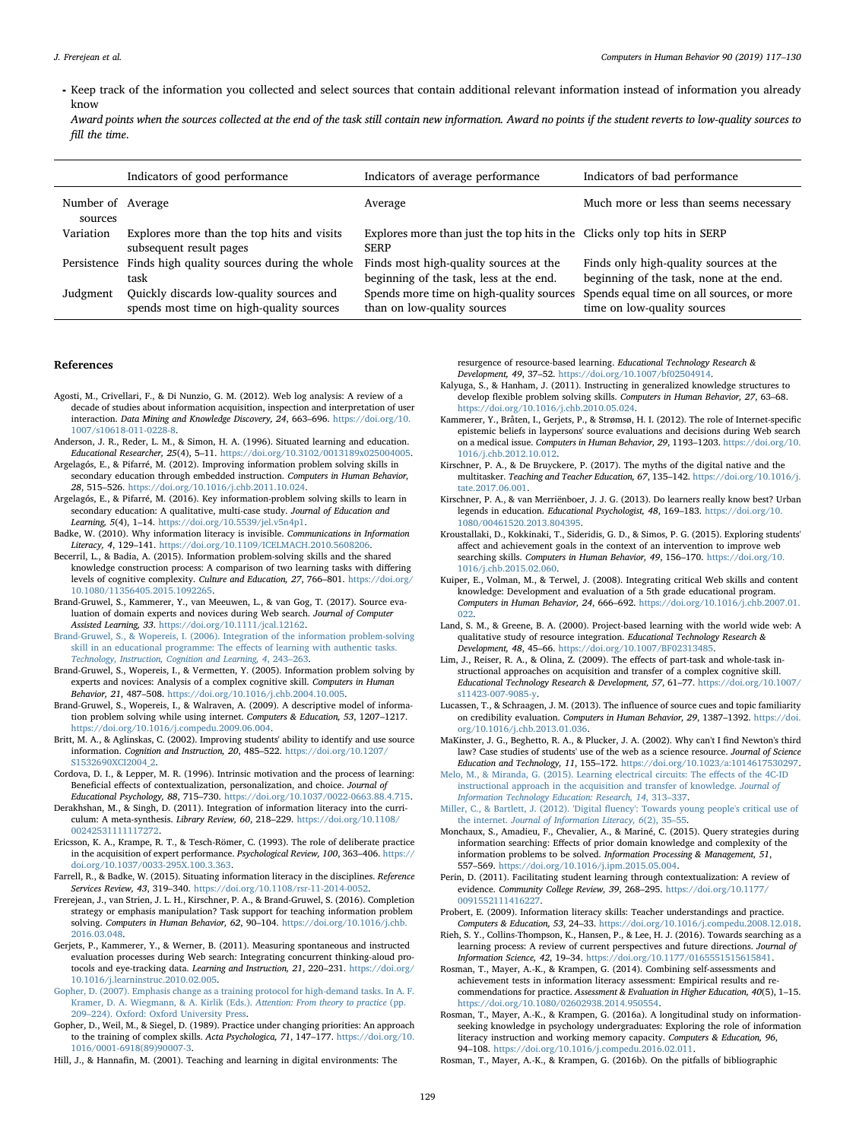⁃ Keep track of the information you collected and select sources that contain additional relevant information instead of information you already know

Award points when the sources collected at the end of the task still contain new information. Award no points if the student reverts to low-quality sources to fill the time.

|                              | Indicators of good performance                                                       | Indicators of average performance                                                       | Indicators of bad performance                                                     |
|------------------------------|--------------------------------------------------------------------------------------|-----------------------------------------------------------------------------------------|-----------------------------------------------------------------------------------|
| Number of Average<br>sources |                                                                                      | Average                                                                                 | Much more or less than seems necessary                                            |
| Variation                    | Explores more than the top hits and visits<br>subsequent result pages                | Explores more than just the top hits in the Clicks only top hits in SERP<br><b>SERP</b> |                                                                                   |
|                              | Persistence Finds high quality sources during the whole<br>task                      | Finds most high-quality sources at the<br>beginning of the task, less at the end.       | Finds only high-quality sources at the<br>beginning of the task, none at the end. |
| Judgment                     | Quickly discards low-quality sources and<br>spends most time on high-quality sources | Spends more time on high-quality sources<br>than on low-quality sources                 | Spends equal time on all sources, or more<br>time on low-quality sources          |

#### References

- <span id="page-12-31"></span>Agosti, M., Crivellari, F., & Di Nunzio, G. M. (2012). Web log analysis: A review of a decade of studies about information acquisition, inspection and interpretation of user interaction. Data Mining and Knowledge Discovery, 24, 663–696. [https://doi.org/10.](https://doi.org/10.1007/s10618-011-0228-8) [1007/s10618-011-0228-8](https://doi.org/10.1007/s10618-011-0228-8).
- <span id="page-12-17"></span>Anderson, J. R., Reder, L. M., & Simon, H. A. (1996). Situated learning and education. Educational Researcher, 25(4), 5–11. [https://doi.org/10.3102/0013189x025004005.](https://doi.org/10.3102/0013189x025004005)
- <span id="page-12-19"></span>Argelagós, E., & Pifarré, M. (2012). Improving information problem solving skills in secondary education through embedded instruction. Computers in Human Behavior, 28, 515–526. <https://doi.org/10.1016/j.chb.2011.10.024>.
- <span id="page-12-27"></span>Argelagós, E., & Pifarré, M. (2016). Key information-problem solving skills to learn in secondary education: A qualitative, multi-case study. Journal of Education and Learning, 5(4), 1–14. [https://doi.org/10.5539/jel.v5n4p1.](https://doi.org/10.5539/jel.v5n4p1)
- <span id="page-12-3"></span>Badke, W. (2010). Why information literacy is invisible. Communications in Information Literacy, 4, 129–141. [https://doi.org/10.1109/ICELMACH.2010.5608206.](https://doi.org/10.1109/ICELMACH.2010.5608206)
- <span id="page-12-22"></span>Becerril, L., & Badia, A. (2015). Information problem-solving skills and the shared knowledge construction process: A comparison of two learning tasks with differing levels of cognitive complexity. Culture and Education, 27, 766–801. [https://doi.org/](https://doi.org/10.1080/11356405.2015.1092265) [10.1080/11356405.2015.1092265.](https://doi.org/10.1080/11356405.2015.1092265)
- <span id="page-12-10"></span>Brand-Gruwel, S., Kammerer, Y., van Meeuwen, L., & van Gog, T. (2017). Source evaluation of domain experts and novices during Web search. Journal of Computer Assisted Learning, 33. <https://doi.org/10.1111/jcal.12162>.
- <span id="page-12-21"></span>[Brand-Gruwel, S., & Wopereis, I. \(2006\). Integration of the information problem-solving](http://refhub.elsevier.com/S0747-5632(18)30418-7/sref8) [skill in an educational programme: The e](http://refhub.elsevier.com/S0747-5632(18)30418-7/sref8)ffects of learning with authentic tasks. [Technology, Instruction, Cognition and Learning, 4](http://refhub.elsevier.com/S0747-5632(18)30418-7/sref8), 243–263.
- <span id="page-12-6"></span>Brand-Gruwel, S., Wopereis, I., & Vermetten, Y. (2005). Information problem solving by experts and novices: Analysis of a complex cognitive skill. Computers in Human Behavior, 21, 487–508. [https://doi.org/10.1016/j.chb.2004.10.005.](https://doi.org/10.1016/j.chb.2004.10.005)
- <span id="page-12-26"></span>Brand-Gruwel, S., Wopereis, I., & Walraven, A. (2009). A descriptive model of information problem solving while using internet. Computers & Education, 53, 1207–1217. <https://doi.org/10.1016/j.compedu.2009.06.004>.
- <span id="page-12-15"></span>Britt, M. A., & Aglinskas, C. (2002). Improving students' ability to identify and use source information. Cognition and Instruction, 20, 485–522. [https://doi.org/10.1207/](https://doi.org/10.1207/S1532690XCI2004_2) [S1532690XCI2004\\_2](https://doi.org/10.1207/S1532690XCI2004_2).
- <span id="page-12-16"></span>Cordova, D. I., & Lepper, M. R. (1996). Intrinsic motivation and the process of learning: Beneficial effects of contextualization, personalization, and choice. Journal of Educational Psychology, 88, 715–730. [https://doi.org/10.1037/0022-0663.88.4.715.](https://doi.org/10.1037/0022-0663.88.4.715)
- <span id="page-12-4"></span>Derakhshan, M., & Singh, D. (2011). Integration of information literacy into the curriculum: A meta-synthesis. Library Review, 60, 218–229. [https://doi.org/10.1108/](https://doi.org/10.1108/00242531111117272) [00242531111117272.](https://doi.org/10.1108/00242531111117272)
- <span id="page-12-29"></span>Ericsson, K. A., Krampe, R. T., & Tesch-Römer, C. (1993). The role of deliberate practice in the acquisition of expert performance. Psychological Review, 100, 363–406. [https://](https://doi.org/10.1037/0033-295X.100.3.363) [doi.org/10.1037/0033-295X.100.3.363.](https://doi.org/10.1037/0033-295X.100.3.363)
- <span id="page-12-20"></span>Farrell, R., & Badke, W. (2015). Situating information literacy in the disciplines. Reference Services Review, 43, 319-340. https://doi.org/10.1108/rsr-11-2014-005.
- <span id="page-12-9"></span>Frerejean, J., van Strien, J. L. H., Kirschner, P. A., & Brand-Gruwel, S. (2016). Completion strategy or emphasis manipulation? Task support for teaching information problem solving. Computers in Human Behavior, 62, 90-104. [https://doi.org/10.1016/j.chb.](https://doi.org/10.1016/j.chb.2016.03.048) [2016.03.048](https://doi.org/10.1016/j.chb.2016.03.048).
- Gerjets, P., Kammerer, Y., & Werner, B. (2011). Measuring spontaneous and instructed evaluation processes during Web search: Integrating concurrent thinking-aloud protocols and eye-tracking data. Learning and Instruction, 21, 220–231. [https://doi.org/](https://doi.org/10.1016/j.learninstruc.2010.02.005) [10.1016/j.learninstruc.2010.02.005](https://doi.org/10.1016/j.learninstruc.2010.02.005).
- <span id="page-12-12"></span>[Gopher, D. \(2007\). Emphasis change as a training protocol for high-demand tasks. In A. F.](http://refhub.elsevier.com/S0747-5632(18)30418-7/sref17) [Kramer, D. A. Wiegmann, & A. Kirlik \(Eds.\).](http://refhub.elsevier.com/S0747-5632(18)30418-7/sref17) Attention: From theory to practice (pp. 209–[224\). Oxford: Oxford University Press](http://refhub.elsevier.com/S0747-5632(18)30418-7/sref17).
- Gopher, D., Weil, M., & Siegel, D. (1989). Practice under changing priorities: An approach to the training of complex skills. Acta Psychologica, 71, 147–177. [https://doi.org/10.](https://doi.org/10.1016/0001-6918(89)90007-3) [1016/0001-6918\(89\)90007-3](https://doi.org/10.1016/0001-6918(89)90007-3).

<span id="page-12-0"></span>Hill, J., & Hannafin, M. (2001). Teaching and learning in digital environments: The

resurgence of resource-based learning. Educational Technology Research & Development, 49, 37–52. [https://doi.org/10.1007/bf02504914.](https://doi.org/10.1007/bf02504914)

- <span id="page-12-30"></span>Kalyuga, S., & Hanham, J. (2011). Instructing in generalized knowledge structures to develop flexible problem solving skills. Computers in Human Behavior, 27, 63–68. [https://doi.org/10.1016/j.chb.2010.05.024.](https://doi.org/10.1016/j.chb.2010.05.024)
- <span id="page-12-8"></span>Kammerer, Y., Bråten, I., Gerjets, P., & Strømsø, H. I. (2012). The role of Internet-specific epistemic beliefs in laypersons' source evaluations and decisions during Web search on a medical issue. Computers in Human Behavior, 29, 1193–1203. [https://doi.org/10.](https://doi.org/10.1016/j.chb.2012.10.012) [1016/j.chb.2012.10.012](https://doi.org/10.1016/j.chb.2012.10.012).
- <span id="page-12-1"></span>Kirschner, P. A., & De Bruyckere, P. (2017). The myths of the digital native and the multitasker. Teaching and Teacher Education, 67, 135–142. [https://doi.org/10.1016/j.](https://doi.org/10.1016/j.tate.2017.06.001) [tate.2017.06.001.](https://doi.org/10.1016/j.tate.2017.06.001)
- Kirschner, P. A., & van Merriënboer, J. J. G. (2013). Do learners really know best? Urban legends in education. Educational Psychologist, 48, 169–183. [https://doi.org/10.](https://doi.org/10.1080/00461520.2013.804395) [1080/00461520.2013.804395](https://doi.org/10.1080/00461520.2013.804395).
- <span id="page-12-11"></span>Kroustallaki, D., Kokkinaki, T., Sideridis, G. D., & Simos, P. G. (2015). Exploring students' affect and achievement goals in the context of an intervention to improve web searching skills. Computers in Human Behavior, 49, 156-170. [https://doi.org/10.](https://doi.org/10.1016/j.chb.2015.02.060) [1016/j.chb.2015.02.060](https://doi.org/10.1016/j.chb.2015.02.060).
- <span id="page-12-18"></span>Kuiper, E., Volman, M., & Terwel, J. (2008). Integrating critical Web skills and content knowledge: Development and evaluation of a 5th grade educational program. Computers in Human Behavior, 24, 666–692. [https://doi.org/10.1016/j.chb.2007.01.](https://doi.org/10.1016/j.chb.2007.01.022) [022](https://doi.org/10.1016/j.chb.2007.01.022).
- <span id="page-12-28"></span>Land, S. M., & Greene, B. A. (2000). Project-based learning with the world wide web: A qualitative study of resource integration. Educational Technology Research & Development, 48, 45–66. [https://doi.org/10.1007/BF02313485.](https://doi.org/10.1007/BF02313485)
- <span id="page-12-14"></span>Lim, J., Reiser, R. A., & Olina, Z. (2009). The effects of part-task and whole-task instructional approaches on acquisition and transfer of a complex cognitive skill. Educational Technology Research & Development, 57, 61–77. [https://doi.org/10.1007/](https://doi.org/10.1007/s11423-007-9085-y) [s11423-007-9085-y.](https://doi.org/10.1007/s11423-007-9085-y)
- <span id="page-12-7"></span>Lucassen, T., & Schraagen, J. M. (2013). The influence of source cues and topic familiarity on credibility evaluation. Computers in Human Behavior, 29, 1387–1392. [https://doi.](https://doi.org/10.1016/j.chb.2013.01.036) [org/10.1016/j.chb.2013.01.036.](https://doi.org/10.1016/j.chb.2013.01.036)
- <span id="page-12-23"></span>MaKinster, J. G., Beghetto, R. A., & Plucker, J. A. (2002). Why can't I find Newton's third law? Case studies of students' use of the web as a science resource. Journal of Science Education and Technology, 11, 155–172. [https://doi.org/10.1023/a:1014617530297.](https://doi.org/10.1023/a:1014617530297)
- <span id="page-12-13"></span>[Melo, M., & Miranda, G. \(2015\). Learning electrical circuits: The e](http://refhub.elsevier.com/S0747-5632(18)30418-7/sref30)ffects of the 4C-ID [instructional approach in the acquisition and transfer of knowledge.](http://refhub.elsevier.com/S0747-5632(18)30418-7/sref30) Journal of [Information Technology Education: Research, 14](http://refhub.elsevier.com/S0747-5632(18)30418-7/sref30), 313–337.

<span id="page-12-2"></span>Miller, C., & Bartlett, J. (2012). 'Digital fl[uency': Towards young people's critical use of](http://refhub.elsevier.com/S0747-5632(18)30418-7/sref31) the internet. [Journal of Information Literacy, 6](http://refhub.elsevier.com/S0747-5632(18)30418-7/sref31)(2), 35–55.

- <span id="page-12-24"></span>Monchaux, S., Amadieu, F., Chevalier, A., & Mariné, C. (2015). Query strategies during information searching: Effects of prior domain knowledge and complexity of the information problems to be solved. Information Processing & Management, 51, 557–569. <https://doi.org/10.1016/j.ipm.2015.05.004>.
- <span id="page-12-5"></span>Perin, D. (2011). Facilitating student learning through contextualization: A review of evidence. Community College Review, 39, 268–295. [https://doi.org/10.1177/](https://doi.org/10.1177/0091552111416227) [0091552111416227.](https://doi.org/10.1177/0091552111416227)
- Probert, E. (2009). Information literacy skills: Teacher understandings and practice. Computers & Education, 53, 24–33. [https://doi.org/10.1016/j.compedu.2008.12.018.](https://doi.org/10.1016/j.compedu.2008.12.018)

<span id="page-12-32"></span>Rieh, S. Y., Collins-Thompson, K., Hansen, P., & Lee, H. J. (2016). Towards searching as a learning process: A review of current perspectives and future directions. Journal of

- Information Science, 42, 19–34. <https://doi.org/10.1177/0165551515615841>. Rosman, T., Mayer, A.-K., & Krampen, G. (2014). Combining self-assessments and achievement tests in information literacy assessment: Empirical results and recommendations for practice. Assessment & Evaluation in Higher Education, 40(5), 1–15. [https://doi.org/10.1080/02602938.2014.950554.](https://doi.org/10.1080/02602938.2014.950554)
- <span id="page-12-25"></span>Rosman, T., Mayer, A.-K., & Krampen, G. (2016a). A longitudinal study on informationseeking knowledge in psychology undergraduates: Exploring the role of information literacy instruction and working memory capacity. Computers & Education, 96, 94–108. <https://doi.org/10.1016/j.compedu.2016.02.011>.
- Rosman, T., Mayer, A.-K., & Krampen, G. (2016b). On the pitfalls of bibliographic